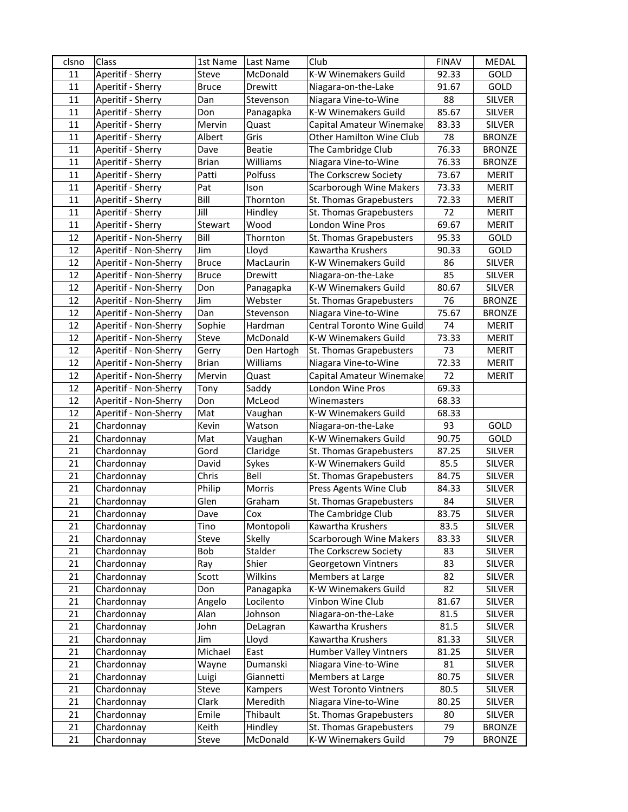| clsno    | Class                    | 1st Name     | Last Name         | Club                                                | <b>FINAV</b>  | <b>MEDAL</b>                   |
|----------|--------------------------|--------------|-------------------|-----------------------------------------------------|---------------|--------------------------------|
| 11       | Aperitif - Sherry        | Steve        | McDonald          | K-W Winemakers Guild                                | 92.33         | GOLD                           |
| 11       | Aperitif - Sherry        | <b>Bruce</b> | Drewitt           | Niagara-on-the-Lake                                 | 91.67         | GOLD                           |
| 11       | Aperitif - Sherry        | Dan          | Stevenson         | Niagara Vine-to-Wine                                | 88            | SILVER                         |
| 11       | Aperitif - Sherry        | Don          | Panagapka         | K-W Winemakers Guild                                | 85.67         | SILVER                         |
| 11       | Aperitif - Sherry        | Mervin       | Quast             | Capital Amateur Winemake                            | 83.33         | <b>SILVER</b>                  |
| 11       | Aperitif - Sherry        | Albert       | Gris              | Other Hamilton Wine Club                            | 78            | <b>BRONZE</b>                  |
| 11       | Aperitif - Sherry        | Dave         | <b>Beatie</b>     | The Cambridge Club                                  | 76.33         | <b>BRONZE</b>                  |
| 11       | Aperitif - Sherry        | <b>Brian</b> | Williams          | Niagara Vine-to-Wine                                | 76.33         | <b>BRONZE</b>                  |
| 11       | Aperitif - Sherry        | Patti        | Polfuss           | The Corkscrew Society                               | 73.67         | <b>MERIT</b>                   |
| 11       | Aperitif - Sherry        | Pat          | Ison              | <b>Scarborough Wine Makers</b>                      | 73.33         | <b>MERIT</b>                   |
| 11       | Aperitif - Sherry        | Bill         | Thornton          | St. Thomas Grapebusters                             | 72.33         | <b>MERIT</b>                   |
| 11       | Aperitif - Sherry        | Jill         | Hindley           | St. Thomas Grapebusters                             | 72            | <b>MERIT</b>                   |
| 11       | Aperitif - Sherry        | Stewart      | Wood              | London Wine Pros                                    | 69.67         | <b>MERIT</b>                   |
| 12       | Aperitif - Non-Sherry    | Bill         | Thornton          | St. Thomas Grapebusters                             | 95.33         | GOLD                           |
| 12       | Aperitif - Non-Sherry    | Jim          | Lloyd             | Kawartha Krushers                                   | 90.33         | GOLD                           |
| 12       | Aperitif - Non-Sherry    | <b>Bruce</b> | MacLaurin         | K-W Winemakers Guild                                | 86            | SILVER                         |
| 12       | Aperitif - Non-Sherry    | <b>Bruce</b> | Drewitt           | Niagara-on-the-Lake                                 | 85            | SILVER                         |
| 12       | Aperitif - Non-Sherry    | Don          | Panagapka         | K-W Winemakers Guild                                | 80.67         | SILVER                         |
| 12       | Aperitif - Non-Sherry    | Jim          | Webster           | St. Thomas Grapebusters                             | 76            | <b>BRONZE</b>                  |
| 12       | Aperitif - Non-Sherry    | Dan          | Stevenson         | Niagara Vine-to-Wine                                | 75.67         | <b>BRONZE</b>                  |
| 12       | Aperitif - Non-Sherry    | Sophie       | Hardman           | Central Toronto Wine Guild                          | 74            | <b>MERIT</b>                   |
| 12       | Aperitif - Non-Sherry    | Steve        | McDonald          | K-W Winemakers Guild                                | 73.33         | <b>MERIT</b>                   |
| 12       | Aperitif - Non-Sherry    | Gerry        | Den Hartogh       | St. Thomas Grapebusters                             | 73            | <b>MERIT</b>                   |
| 12       | Aperitif - Non-Sherry    | <b>Brian</b> | Williams          | Niagara Vine-to-Wine                                | 72.33         | <b>MERIT</b>                   |
| 12       | Aperitif - Non-Sherry    | Mervin       | Quast             | Capital Amateur Winemake                            | 72            | <b>MERIT</b>                   |
| 12       | Aperitif - Non-Sherry    | Tony         | Saddy             | London Wine Pros                                    | 69.33         |                                |
| 12       | Aperitif - Non-Sherry    | Don          | McLeod            | Winemasters                                         | 68.33         |                                |
| 12       | Aperitif - Non-Sherry    | Mat          | Vaughan           | K-W Winemakers Guild                                | 68.33         |                                |
| 21       | Chardonnay               | Kevin        | Watson            | Niagara-on-the-Lake                                 | 93            | GOLD                           |
| 21       | Chardonnay               | Mat          | Vaughan           | K-W Winemakers Guild                                | 90.75         | GOLD                           |
| 21       | Chardonnay               | Gord         | Claridge          | St. Thomas Grapebusters                             | 87.25         | <b>SILVER</b>                  |
| 21       | Chardonnay               | David        | Sykes             | <b>K-W Winemakers Guild</b>                         | 85.5          | <b>SILVER</b>                  |
| 21       | Chardonnay               | Chris        | Bell              | St. Thomas Grapebusters                             | 84.75         | <b>SILVER</b>                  |
| 21<br>21 | Chardonnay               | Philip       | Morris            | Press Agents Wine Club                              | 84.33         | <b>SILVER</b><br><b>SILVER</b> |
|          | Chardonnay               | Glen         | Graham            | St. Thomas Grapebusters                             | 84            |                                |
| 21<br>21 | Chardonnay               | Dave         | Cox<br>Montopoli  | The Cambridge Club                                  | 83.75<br>83.5 | <b>SILVER</b><br><b>SILVER</b> |
| 21       | Chardonnay               | Tino         |                   | Kawartha Krushers<br><b>Scarborough Wine Makers</b> |               | <b>SILVER</b>                  |
| 21       | Chardonnay<br>Chardonnay | Steve<br>Bob | Skelly<br>Stalder | The Corkscrew Society                               | 83.33<br>83   | <b>SILVER</b>                  |
| 21       | Chardonnay               | Ray          | Shier             | Georgetown Vintners                                 | 83            | SILVER                         |
| 21       | Chardonnay               | Scott        | Wilkins           | Members at Large                                    | 82            | SILVER                         |
| 21       | Chardonnay               | Don          | Panagapka         | K-W Winemakers Guild                                | 82            | <b>SILVER</b>                  |
| 21       | Chardonnay               | Angelo       | Locilento         | Vinbon Wine Club                                    | 81.67         | <b>SILVER</b>                  |
| 21       | Chardonnay               | Alan         | Johnson           | Niagara-on-the-Lake                                 | 81.5          | <b>SILVER</b>                  |
| 21       | Chardonnay               | John         | DeLagran          | Kawartha Krushers                                   | 81.5          | <b>SILVER</b>                  |
| 21       | Chardonnay               | Jim          | Lloyd             | Kawartha Krushers                                   | 81.33         | <b>SILVER</b>                  |
| 21       | Chardonnay               | Michael      | East              | Humber Valley Vintners                              | 81.25         | SILVER                         |
| 21       | Chardonnay               | Wayne        | Dumanski          | Niagara Vine-to-Wine                                | 81            | SILVER                         |
| 21       | Chardonnay               | Luigi        | Giannetti         | Members at Large                                    | 80.75         | SILVER                         |
| 21       | Chardonnay               | Steve        | Kampers           | <b>West Toronto Vintners</b>                        | 80.5          | SILVER                         |
| 21       | Chardonnay               | Clark        | Meredith          | Niagara Vine-to-Wine                                | 80.25         | <b>SILVER</b>                  |
| 21       | Chardonnay               | Emile        | Thibault          | St. Thomas Grapebusters                             | 80            | SILVER                         |
| 21       | Chardonnay               | Keith        | Hindley           | St. Thomas Grapebusters                             | 79            | <b>BRONZE</b>                  |
| 21       | Chardonnay               | Steve        | McDonald          | K-W Winemakers Guild                                | 79            | <b>BRONZE</b>                  |
|          |                          |              |                   |                                                     |               |                                |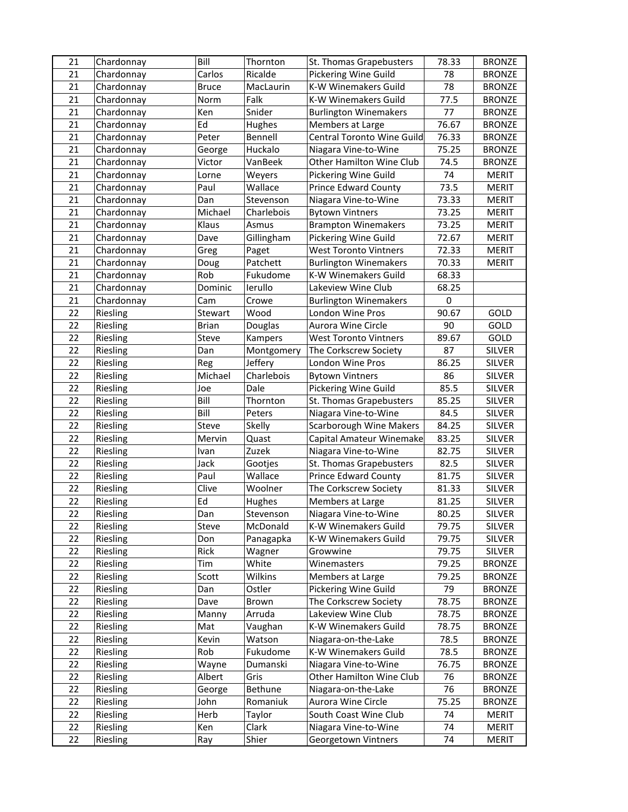| 21 | Chardonnay | Bill         | Thornton       | St. Thomas Grapebusters        | 78.33       | <b>BRONZE</b> |
|----|------------|--------------|----------------|--------------------------------|-------------|---------------|
| 21 | Chardonnay | Carlos       | Ricalde        | Pickering Wine Guild           | 78          | <b>BRONZE</b> |
| 21 | Chardonnay | <b>Bruce</b> | MacLaurin      | K-W Winemakers Guild           | 78          | <b>BRONZE</b> |
| 21 | Chardonnay | Norm         | Falk           | K-W Winemakers Guild           | 77.5        | <b>BRONZE</b> |
| 21 | Chardonnay | Ken          | Snider         | <b>Burlington Winemakers</b>   | 77          | <b>BRONZE</b> |
| 21 | Chardonnay | Ed           | <b>Hughes</b>  | Members at Large               | 76.67       | <b>BRONZE</b> |
| 21 | Chardonnay | Peter        | Bennell        | Central Toronto Wine Guild     | 76.33       | <b>BRONZE</b> |
| 21 | Chardonnay | George       | Huckalo        | Niagara Vine-to-Wine           | 75.25       | <b>BRONZE</b> |
| 21 | Chardonnay | Victor       | VanBeek        | Other Hamilton Wine Club       | 74.5        | <b>BRONZE</b> |
| 21 | Chardonnay | Lorne        | Weyers         | Pickering Wine Guild           | 74          | <b>MERIT</b>  |
| 21 | Chardonnay | Paul         | Wallace        | <b>Prince Edward County</b>    | 73.5        | <b>MERIT</b>  |
| 21 | Chardonnay | Dan          | Stevenson      | Niagara Vine-to-Wine           | 73.33       | <b>MERIT</b>  |
| 21 | Chardonnay | Michael      | Charlebois     | <b>Bytown Vintners</b>         | 73.25       | <b>MERIT</b>  |
| 21 | Chardonnay | Klaus        | Asmus          | <b>Brampton Winemakers</b>     | 73.25       | <b>MERIT</b>  |
| 21 | Chardonnay | Dave         | Gillingham     | Pickering Wine Guild           | 72.67       | <b>MERIT</b>  |
| 21 | Chardonnay | Greg         | Paget          | <b>West Toronto Vintners</b>   | 72.33       | <b>MERIT</b>  |
| 21 | Chardonnay | Doug         | Patchett       | <b>Burlington Winemakers</b>   | 70.33       | <b>MERIT</b>  |
| 21 | Chardonnay | Rob          | Fukudome       | K-W Winemakers Guild           | 68.33       |               |
| 21 | Chardonnay | Dominic      | lerullo        | Lakeview Wine Club             | 68.25       |               |
| 21 | Chardonnay | Cam          | Crowe          | <b>Burlington Winemakers</b>   | $\mathbf 0$ |               |
| 22 | Riesling   | Stewart      | Wood           | London Wine Pros               | 90.67       | GOLD          |
| 22 | Riesling   | <b>Brian</b> | Douglas        | Aurora Wine Circle             | 90          | GOLD          |
| 22 | Riesling   | Steve        | Kampers        | <b>West Toronto Vintners</b>   | 89.67       | GOLD          |
| 22 | Riesling   | Dan          | Montgomery     | The Corkscrew Society          | 87          | <b>SILVER</b> |
| 22 | Riesling   | Reg          | Jeffery        | London Wine Pros               | 86.25       | <b>SILVER</b> |
| 22 | Riesling   | Michael      | Charlebois     | <b>Bytown Vintners</b>         | 86          | <b>SILVER</b> |
| 22 | Riesling   | Joe          | Dale           | Pickering Wine Guild           | 85.5        | SILVER        |
| 22 | Riesling   | Bill         | Thornton       | St. Thomas Grapebusters        | 85.25       | SILVER        |
| 22 | Riesling   | Bill         | Peters         | Niagara Vine-to-Wine           | 84.5        | SILVER        |
| 22 | Riesling   | Steve        | Skelly         | <b>Scarborough Wine Makers</b> | 84.25       | SILVER        |
| 22 | Riesling   | Mervin       | Quast          | Capital Amateur Winemake       | 83.25       | SILVER        |
| 22 | Riesling   | Ivan         | Zuzek          | Niagara Vine-to-Wine           | 82.75       | <b>SILVER</b> |
| 22 | Riesling   | Jack         | Gootjes        | St. Thomas Grapebusters        | 82.5        | <b>SILVER</b> |
| 22 | Riesling   | Paul         | Wallace        | <b>Prince Edward County</b>    | 81.75       | <b>SILVER</b> |
| 22 | Riesling   | Clive        | Woolner        | The Corkscrew Society          | 81.33       | <b>SILVER</b> |
| 22 | Riesling   | Ed           | Hughes         | Members at Large               | 81.25       | <b>SILVER</b> |
| 22 | Riesling   | Dan          | Stevenson      | Niagara Vine-to-Wine           | 80.25       | <b>SILVER</b> |
| 22 | Riesling   | Steve        | McDonald       | K-W Winemakers Guild           | 79.75       | <b>SILVER</b> |
| 22 | Riesling   | Don          | Panagapka      | K-W Winemakers Guild           | 79.75       | <b>SILVER</b> |
| 22 | Riesling   | Rick         | Wagner         | Growwine                       | 79.75       | <b>SILVER</b> |
| 22 | Riesling   | Tim          | White          | Winemasters                    | 79.25       | <b>BRONZE</b> |
| 22 | Riesling   | Scott        | Wilkins        | Members at Large               | 79.25       | <b>BRONZE</b> |
| 22 | Riesling   | Dan          | Ostler         | Pickering Wine Guild           | 79          | <b>BRONZE</b> |
| 22 | Riesling   | Dave         | Brown          | The Corkscrew Society          | 78.75       | <b>BRONZE</b> |
| 22 | Riesling   | Manny        | Arruda         | Lakeview Wine Club             | 78.75       | <b>BRONZE</b> |
| 22 | Riesling   | Mat          | Vaughan        | K-W Winemakers Guild           | 78.75       | <b>BRONZE</b> |
| 22 | Riesling   | Kevin        | Watson         | Niagara-on-the-Lake            | 78.5        | <b>BRONZE</b> |
| 22 | Riesling   | Rob          | Fukudome       | K-W Winemakers Guild           | 78.5        | <b>BRONZE</b> |
| 22 | Riesling   | Wayne        | Dumanski       | Niagara Vine-to-Wine           | 76.75       | <b>BRONZE</b> |
| 22 | Riesling   | Albert       | Gris           | Other Hamilton Wine Club       | 76          | <b>BRONZE</b> |
| 22 | Riesling   | George       | <b>Bethune</b> | Niagara-on-the-Lake            | 76          | <b>BRONZE</b> |
| 22 | Riesling   | John         | Romaniuk       | Aurora Wine Circle             | 75.25       | <b>BRONZE</b> |
| 22 | Riesling   | Herb         | Taylor         | South Coast Wine Club          | 74          | <b>MERIT</b>  |
| 22 | Riesling   | Ken          | Clark          | Niagara Vine-to-Wine           | 74          | <b>MERIT</b>  |
| 22 | Riesling   | Ray          | Shier          | Georgetown Vintners            | 74          | <b>MERIT</b>  |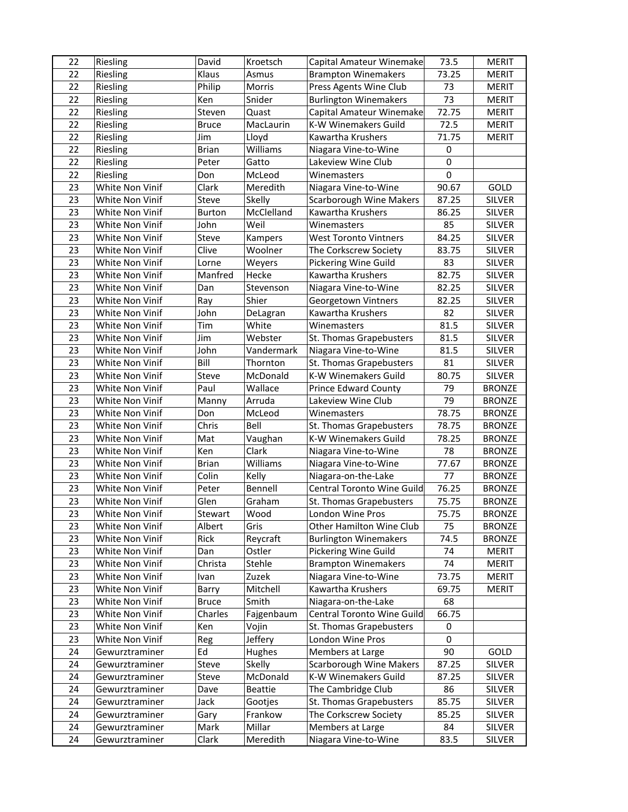| 22 | Riesling        | David         | Kroetsch       | Capital Amateur Winemake       | 73.5        | <b>MERIT</b>  |
|----|-----------------|---------------|----------------|--------------------------------|-------------|---------------|
| 22 | Riesling        | Klaus         | Asmus          | <b>Brampton Winemakers</b>     | 73.25       | <b>MERIT</b>  |
| 22 | Riesling        | Philip        | Morris         | Press Agents Wine Club         | 73          | <b>MERIT</b>  |
| 22 | Riesling        | Ken           | Snider         | <b>Burlington Winemakers</b>   | 73          | <b>MERIT</b>  |
| 22 | Riesling        | Steven        | Quast          | Capital Amateur Winemake       | 72.75       | <b>MERIT</b>  |
| 22 | Riesling        | <b>Bruce</b>  | MacLaurin      | K-W Winemakers Guild           | 72.5        | <b>MERIT</b>  |
| 22 | Riesling        | Jim           | Lloyd          | Kawartha Krushers              | 71.75       | <b>MERIT</b>  |
| 22 | Riesling        | <b>Brian</b>  | Williams       | Niagara Vine-to-Wine           | $\mathbf 0$ |               |
| 22 | Riesling        | Peter         | Gatto          | Lakeview Wine Club             | $\mathbf 0$ |               |
| 22 | Riesling        | Don           | McLeod         | Winemasters                    | $\Omega$    |               |
| 23 | White Non Vinif | Clark         | Meredith       | Niagara Vine-to-Wine           | 90.67       | GOLD          |
| 23 | White Non Vinif | Steve         | Skelly         | <b>Scarborough Wine Makers</b> | 87.25       | <b>SILVER</b> |
| 23 | White Non Vinif | <b>Burton</b> | McClelland     | Kawartha Krushers              | 86.25       | <b>SILVER</b> |
| 23 | White Non Vinif | John          | Weil           | Winemasters                    | 85          | <b>SILVER</b> |
| 23 | White Non Vinif | Steve         | Kampers        | <b>West Toronto Vintners</b>   | 84.25       | <b>SILVER</b> |
| 23 | White Non Vinif | Clive         | Woolner        | The Corkscrew Society          | 83.75       | <b>SILVER</b> |
| 23 | White Non Vinif | Lorne         | Weyers         | Pickering Wine Guild           | 83          | SILVER        |
| 23 | White Non Vinif | Manfred       | Hecke          | Kawartha Krushers              | 82.75       | <b>SILVER</b> |
| 23 | White Non Vinif | Dan           | Stevenson      | Niagara Vine-to-Wine           | 82.25       | <b>SILVER</b> |
| 23 | White Non Vinif | Ray           | Shier          | Georgetown Vintners            | 82.25       | <b>SILVER</b> |
| 23 | White Non Vinif | John          | DeLagran       | Kawartha Krushers              | 82          | <b>SILVER</b> |
| 23 | White Non Vinif | Tim           | White          | Winemasters                    | 81.5        | <b>SILVER</b> |
| 23 | White Non Vinif | Jim           | Webster        | St. Thomas Grapebusters        | 81.5        | SILVER        |
| 23 | White Non Vinif | John          | Vandermark     | Niagara Vine-to-Wine           | 81.5        | <b>SILVER</b> |
| 23 | White Non Vinif | Bill          | Thornton       | St. Thomas Grapebusters        | 81          | <b>SILVER</b> |
| 23 | White Non Vinif | Steve         | McDonald       | K-W Winemakers Guild           | 80.75       | <b>SILVER</b> |
| 23 | White Non Vinif | Paul          | Wallace        | <b>Prince Edward County</b>    | 79          | <b>BRONZE</b> |
| 23 | White Non Vinif | Manny         | Arruda         | Lakeview Wine Club             | 79          | <b>BRONZE</b> |
| 23 | White Non Vinif | Don           | McLeod         | Winemasters                    | 78.75       | <b>BRONZE</b> |
| 23 | White Non Vinif | Chris         | Bell           | St. Thomas Grapebusters        | 78.75       | <b>BRONZE</b> |
| 23 | White Non Vinif | Mat           | Vaughan        | K-W Winemakers Guild           | 78.25       | <b>BRONZE</b> |
| 23 | White Non Vinif | Ken           | Clark          | Niagara Vine-to-Wine           | 78          | <b>BRONZE</b> |
| 23 | White Non Vinif | <b>Brian</b>  | Williams       | Niagara Vine-to-Wine           | 77.67       | <b>BRONZE</b> |
| 23 | White Non Vinif | Colin         | Kelly          | Niagara-on-the-Lake            | 77          | <b>BRONZE</b> |
| 23 | White Non Vinif | Peter         | Bennell        | Central Toronto Wine Guild     | 76.25       | <b>BRONZE</b> |
| 23 | White Non Vinif | Glen          | Graham         | St. Thomas Grapebusters        | 75.75       | <b>BRONZE</b> |
| 23 | White Non Vinif | Stewart       | Wood           | London Wine Pros               | 75.75       | <b>BRONZE</b> |
| 23 | White Non Vinif | Albert        | Gris           | Other Hamilton Wine Club       | 75          | <b>BRONZE</b> |
| 23 | White Non Vinif | Rick          | Reycraft       | <b>Burlington Winemakers</b>   | 74.5        | <b>BRONZE</b> |
| 23 | White Non Vinif | Dan           | Ostler         | Pickering Wine Guild           | 74          | <b>MERIT</b>  |
| 23 | White Non Vinif | Christa       | Stehle         | <b>Brampton Winemakers</b>     | 74          | <b>MERIT</b>  |
| 23 | White Non Vinif | Ivan          | Zuzek          | Niagara Vine-to-Wine           | 73.75       | <b>MERIT</b>  |
| 23 | White Non Vinif | Barry         | Mitchell       | Kawartha Krushers              | 69.75       | <b>MERIT</b>  |
| 23 | White Non Vinif | <b>Bruce</b>  | Smith          | Niagara-on-the-Lake            | 68          |               |
| 23 | White Non Vinif | Charles       | Fajgenbaum     | Central Toronto Wine Guild     | 66.75       |               |
| 23 | White Non Vinif | Ken           | Vojin          | St. Thomas Grapebusters        | 0           |               |
| 23 | White Non Vinif | Reg           | Jeffery        | London Wine Pros               | 0           |               |
| 24 | Gewurztraminer  | Ed            | <b>Hughes</b>  | Members at Large               | 90          | GOLD          |
| 24 | Gewurztraminer  | Steve         | Skelly         | <b>Scarborough Wine Makers</b> | 87.25       | SILVER        |
| 24 | Gewurztraminer  | Steve         | McDonald       | K-W Winemakers Guild           | 87.25       | SILVER        |
| 24 | Gewurztraminer  | Dave          | <b>Beattie</b> | The Cambridge Club             | 86          | SILVER        |
| 24 | Gewurztraminer  | Jack          | Gootjes        | St. Thomas Grapebusters        | 85.75       | <b>SILVER</b> |
| 24 | Gewurztraminer  | Gary          | Frankow        | The Corkscrew Society          | 85.25       | SILVER        |
| 24 | Gewurztraminer  | Mark          | Millar         | Members at Large               | 84          | <b>SILVER</b> |
| 24 | Gewurztraminer  | Clark         | Meredith       | Niagara Vine-to-Wine           | 83.5        | SILVER        |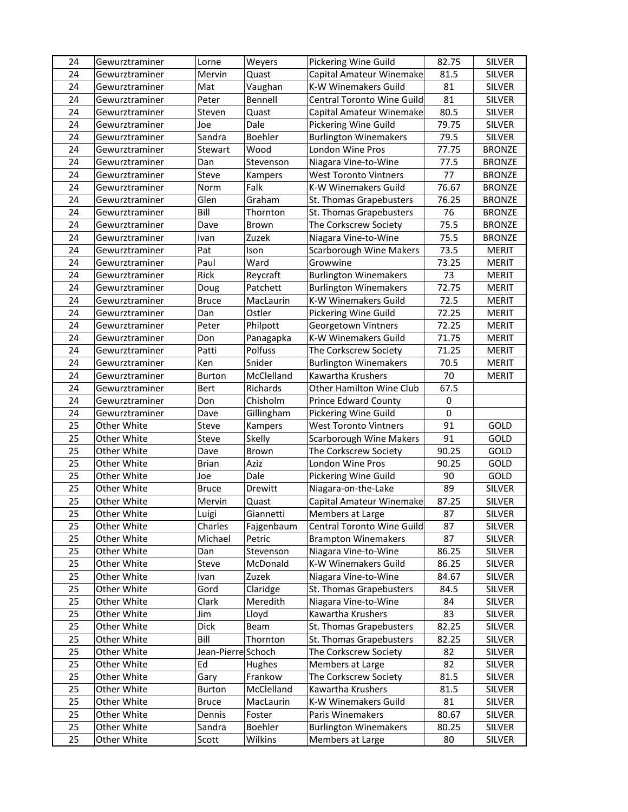| 24 | Gewurztraminer | Lorne              | Weyers     | Pickering Wine Guild           | 82.75 | <b>SILVER</b> |
|----|----------------|--------------------|------------|--------------------------------|-------|---------------|
| 24 | Gewurztraminer | Mervin             | Quast      | Capital Amateur Winemake       | 81.5  | <b>SILVER</b> |
| 24 | Gewurztraminer | Mat                | Vaughan    | K-W Winemakers Guild           | 81    | <b>SILVER</b> |
| 24 | Gewurztraminer | Peter              | Bennell    | Central Toronto Wine Guild     | 81    | <b>SILVER</b> |
| 24 | Gewurztraminer | Steven             | Quast      | Capital Amateur Winemake       | 80.5  | <b>SILVER</b> |
| 24 | Gewurztraminer | Joe                | Dale       | Pickering Wine Guild           | 79.75 | <b>SILVER</b> |
| 24 | Gewurztraminer | Sandra             | Boehler    | <b>Burlington Winemakers</b>   | 79.5  | <b>SILVER</b> |
| 24 | Gewurztraminer | Stewart            | Wood       | London Wine Pros               | 77.75 | <b>BRONZE</b> |
| 24 | Gewurztraminer | Dan                | Stevenson  | Niagara Vine-to-Wine           | 77.5  | <b>BRONZE</b> |
| 24 | Gewurztraminer | Steve              | Kampers    | <b>West Toronto Vintners</b>   | 77    | <b>BRONZE</b> |
| 24 | Gewurztraminer | Norm               | Falk       | K-W Winemakers Guild           | 76.67 | <b>BRONZE</b> |
| 24 | Gewurztraminer | Glen               | Graham     | St. Thomas Grapebusters        | 76.25 | <b>BRONZE</b> |
| 24 | Gewurztraminer | Bill               | Thornton   | St. Thomas Grapebusters        | 76    | <b>BRONZE</b> |
| 24 | Gewurztraminer | Dave               | Brown      | The Corkscrew Society          | 75.5  | <b>BRONZE</b> |
| 24 | Gewurztraminer | Ivan               | Zuzek      | Niagara Vine-to-Wine           | 75.5  | <b>BRONZE</b> |
| 24 | Gewurztraminer | Pat                | Ison       | <b>Scarborough Wine Makers</b> | 73.5  | MERIT         |
| 24 | Gewurztraminer | Paul               | Ward       | Growwine                       | 73.25 | <b>MERIT</b>  |
| 24 | Gewurztraminer | Rick               | Reycraft   | <b>Burlington Winemakers</b>   | 73    | <b>MERIT</b>  |
| 24 | Gewurztraminer | Doug               | Patchett   | <b>Burlington Winemakers</b>   | 72.75 | <b>MERIT</b>  |
| 24 | Gewurztraminer | Bruce              | MacLaurin  | K-W Winemakers Guild           | 72.5  | <b>MERIT</b>  |
| 24 | Gewurztraminer | Dan                | Ostler     | Pickering Wine Guild           | 72.25 | <b>MERIT</b>  |
| 24 | Gewurztraminer | Peter              | Philpott   | Georgetown Vintners            | 72.25 | <b>MERIT</b>  |
| 24 | Gewurztraminer | Don                | Panagapka  | K-W Winemakers Guild           | 71.75 | <b>MERIT</b>  |
| 24 | Gewurztraminer | Patti              | Polfuss    | The Corkscrew Society          | 71.25 | <b>MERIT</b>  |
| 24 | Gewurztraminer | Ken                | Snider     | <b>Burlington Winemakers</b>   | 70.5  | <b>MERIT</b>  |
| 24 | Gewurztraminer | Burton             | McClelland | Kawartha Krushers              | 70    | <b>MERIT</b>  |
| 24 | Gewurztraminer | Bert               | Richards   | Other Hamilton Wine Club       | 67.5  |               |
| 24 | Gewurztraminer | Don                | Chisholm   | <b>Prince Edward County</b>    | 0     |               |
| 24 | Gewurztraminer | Dave               | Gillingham | Pickering Wine Guild           | 0     |               |
| 25 | Other White    | Steve              | Kampers    | <b>West Toronto Vintners</b>   | 91    | GOLD          |
| 25 | Other White    | Steve              | Skelly     | <b>Scarborough Wine Makers</b> | 91    | GOLD          |
| 25 | Other White    | Dave               | Brown      | The Corkscrew Society          | 90.25 | GOLD          |
| 25 | Other White    | <b>Brian</b>       | Aziz       | London Wine Pros               | 90.25 | GOLD          |
| 25 | Other White    | Joe                | Dale       | Pickering Wine Guild           | 90    | GOLD          |
| 25 | Other White    | <b>Bruce</b>       | Drewitt    | Niagara-on-the-Lake            | 89    | SILVER        |
| 25 | Other White    | Mervin             | Quast      | Capital Amateur Winemake       | 87.25 | SILVER        |
| 25 | Other White    | Luigi              | Giannetti  | Members at Large               | 87    | <b>SILVER</b> |
| 25 | Other White    | Charles            | Fajgenbaum | Central Toronto Wine Guild     | 87    | <b>SILVER</b> |
| 25 | Other White    | Michael            | Petric     | <b>Brampton Winemakers</b>     | 87    | SILVER        |
| 25 | Other White    | Dan                | Stevenson  | Niagara Vine-to-Wine           | 86.25 | <b>SILVER</b> |
| 25 | Other White    | Steve              | McDonald   | K-W Winemakers Guild           | 86.25 | SILVER        |
| 25 | Other White    | Ivan               | Zuzek      | Niagara Vine-to-Wine           | 84.67 | SILVER        |
| 25 | Other White    | Gord               | Claridge   | St. Thomas Grapebusters        | 84.5  | <b>SILVER</b> |
| 25 | Other White    | Clark              | Meredith   | Niagara Vine-to-Wine           | 84    | SILVER        |
| 25 | Other White    | Jim                | Lloyd      | Kawartha Krushers              | 83    | <b>SILVER</b> |
| 25 | Other White    | <b>Dick</b>        | Beam       | St. Thomas Grapebusters        | 82.25 | SILVER        |
| 25 | Other White    | Bill               | Thornton   | St. Thomas Grapebusters        | 82.25 | SILVER        |
| 25 | Other White    | Jean-Pierre Schoch |            | The Corkscrew Society          | 82    | SILVER        |
| 25 | Other White    | Ed                 | Hughes     | Members at Large               | 82    | SILVER        |
| 25 | Other White    | Gary               | Frankow    | The Corkscrew Society          | 81.5  | SILVER        |
| 25 | Other White    | <b>Burton</b>      | McClelland | Kawartha Krushers              | 81.5  | <b>SILVER</b> |
| 25 | Other White    | <b>Bruce</b>       | MacLaurin  | K-W Winemakers Guild           | 81    | SILVER        |
| 25 | Other White    | Dennis             | Foster     | Paris Winemakers               | 80.67 | SILVER        |
| 25 | Other White    | Sandra             | Boehler    | <b>Burlington Winemakers</b>   | 80.25 | <b>SILVER</b> |
| 25 | Other White    | Scott              | Wilkins    | Members at Large               | 80    | SILVER        |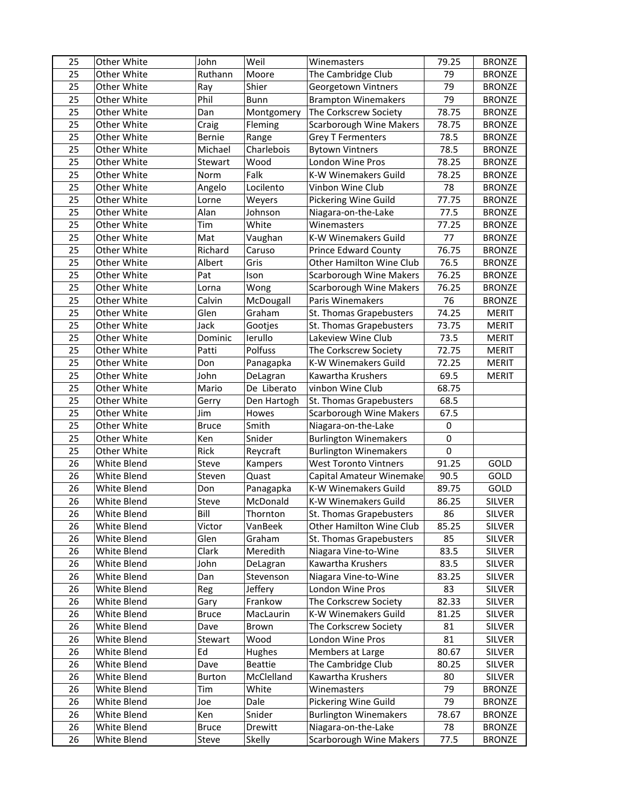| 25 | Other White | John          | Weil           | Winemasters                    | 79.25 | <b>BRONZE</b> |
|----|-------------|---------------|----------------|--------------------------------|-------|---------------|
| 25 | Other White | Ruthann       | Moore          | The Cambridge Club             | 79    | <b>BRONZE</b> |
| 25 | Other White | Ray           | Shier          | Georgetown Vintners            | 79    | <b>BRONZE</b> |
| 25 | Other White | Phil          | Bunn           | <b>Brampton Winemakers</b>     | 79    | <b>BRONZE</b> |
| 25 | Other White | Dan           | Montgomery     | The Corkscrew Society          | 78.75 | <b>BRONZE</b> |
| 25 | Other White | Craig         | Fleming        | <b>Scarborough Wine Makers</b> | 78.75 | <b>BRONZE</b> |
| 25 | Other White | Bernie        | Range          | <b>Grey T Fermenters</b>       | 78.5  | <b>BRONZE</b> |
| 25 | Other White | Michael       | Charlebois     | <b>Bytown Vintners</b>         | 78.5  | <b>BRONZE</b> |
| 25 | Other White | Stewart       | Wood           | London Wine Pros               | 78.25 | <b>BRONZE</b> |
| 25 | Other White | Norm          | Falk           | K-W Winemakers Guild           | 78.25 | <b>BRONZE</b> |
| 25 | Other White | Angelo        | Locilento      | Vinbon Wine Club               | 78    | <b>BRONZE</b> |
| 25 | Other White | Lorne         | Weyers         | Pickering Wine Guild           | 77.75 | <b>BRONZE</b> |
| 25 | Other White | Alan          | Johnson        | Niagara-on-the-Lake            | 77.5  | <b>BRONZE</b> |
| 25 | Other White | Tim           | White          | Winemasters                    | 77.25 | <b>BRONZE</b> |
| 25 | Other White | Mat           | Vaughan        | K-W Winemakers Guild           | 77    | <b>BRONZE</b> |
| 25 | Other White | Richard       | Caruso         | <b>Prince Edward County</b>    | 76.75 | <b>BRONZE</b> |
| 25 | Other White | Albert        | Gris           | Other Hamilton Wine Club       | 76.5  | <b>BRONZE</b> |
| 25 | Other White | Pat           | Ison           | <b>Scarborough Wine Makers</b> | 76.25 | <b>BRONZE</b> |
| 25 | Other White | Lorna         | Wong           | <b>Scarborough Wine Makers</b> | 76.25 | <b>BRONZE</b> |
| 25 | Other White | Calvin        | McDougall      | Paris Winemakers               | 76    | <b>BRONZE</b> |
| 25 | Other White | Glen          | Graham         | St. Thomas Grapebusters        | 74.25 | MERIT         |
| 25 | Other White | Jack          | Gootjes        | St. Thomas Grapebusters        | 73.75 | <b>MERIT</b>  |
| 25 | Other White | Dominic       | lerullo        | Lakeview Wine Club             | 73.5  | <b>MERIT</b>  |
| 25 | Other White | Patti         | Polfuss        | The Corkscrew Society          | 72.75 | <b>MERIT</b>  |
| 25 | Other White | Don           | Panagapka      | K-W Winemakers Guild           | 72.25 | <b>MERIT</b>  |
| 25 | Other White | John          | DeLagran       | Kawartha Krushers              | 69.5  | <b>MERIT</b>  |
| 25 | Other White | Mario         | De Liberato    | vinbon Wine Club               | 68.75 |               |
| 25 | Other White | Gerry         | Den Hartogh    | St. Thomas Grapebusters        | 68.5  |               |
| 25 | Other White | Jim           | Howes          | <b>Scarborough Wine Makers</b> | 67.5  |               |
| 25 | Other White | <b>Bruce</b>  | Smith          | Niagara-on-the-Lake            | 0     |               |
| 25 | Other White | Ken           | Snider         | <b>Burlington Winemakers</b>   | 0     |               |
| 25 | Other White | Rick          | Reycraft       | <b>Burlington Winemakers</b>   | 0     |               |
| 26 | White Blend | Steve         | Kampers        | <b>West Toronto Vintners</b>   | 91.25 | GOLD          |
| 26 | White Blend | Steven        | Quast          | Capital Amateur Winemake       | 90.5  | GOLD          |
| 26 | White Blend | Don           | Panagapka      | K-W Winemakers Guild           | 89.75 | GOLD          |
| 26 | White Blend | Steve         | McDonald       | K-W Winemakers Guild           | 86.25 | <b>SILVER</b> |
| 26 | White Blend | Bill          | Thornton       | St. Thomas Grapebusters        | 86    | <b>SILVER</b> |
| 26 | White Blend | Victor        | VanBeek        | Other Hamilton Wine Club       | 85.25 | <b>SILVER</b> |
| 26 | White Blend | Glen          | Graham         | St. Thomas Grapebusters        | 85    | SILVER        |
| 26 | White Blend | Clark         | Meredith       | Niagara Vine-to-Wine           | 83.5  | <b>SILVER</b> |
| 26 | White Blend | John          | DeLagran       | Kawartha Krushers              | 83.5  | <b>SILVER</b> |
| 26 | White Blend | Dan           | Stevenson      | Niagara Vine-to-Wine           | 83.25 | SILVER        |
| 26 | White Blend | Reg           | Jeffery        | London Wine Pros               | 83    | <b>SILVER</b> |
| 26 | White Blend | Gary          | Frankow        | The Corkscrew Society          | 82.33 | SILVER        |
| 26 | White Blend | <b>Bruce</b>  | MacLaurin      | K-W Winemakers Guild           | 81.25 | SILVER        |
| 26 | White Blend | Dave          | Brown          | The Corkscrew Society          | 81    | <b>SILVER</b> |
| 26 | White Blend | Stewart       | Wood           | London Wine Pros               | 81    | <b>SILVER</b> |
| 26 | White Blend | Ed            | Hughes         | Members at Large               | 80.67 | <b>SILVER</b> |
| 26 | White Blend | Dave          | <b>Beattie</b> | The Cambridge Club             | 80.25 | SILVER        |
| 26 | White Blend | <b>Burton</b> | McClelland     | Kawartha Krushers              | 80    | SILVER        |
| 26 | White Blend | Tim           | White          | Winemasters                    | 79    | <b>BRONZE</b> |
| 26 | White Blend | Joe           | Dale           | Pickering Wine Guild           | 79    | <b>BRONZE</b> |
| 26 | White Blend | Ken           | Snider         | <b>Burlington Winemakers</b>   | 78.67 | <b>BRONZE</b> |
| 26 | White Blend | <b>Bruce</b>  | Drewitt        | Niagara-on-the-Lake            | 78    | <b>BRONZE</b> |
| 26 | White Blend | Steve         | Skelly         | <b>Scarborough Wine Makers</b> | 77.5  | <b>BRONZE</b> |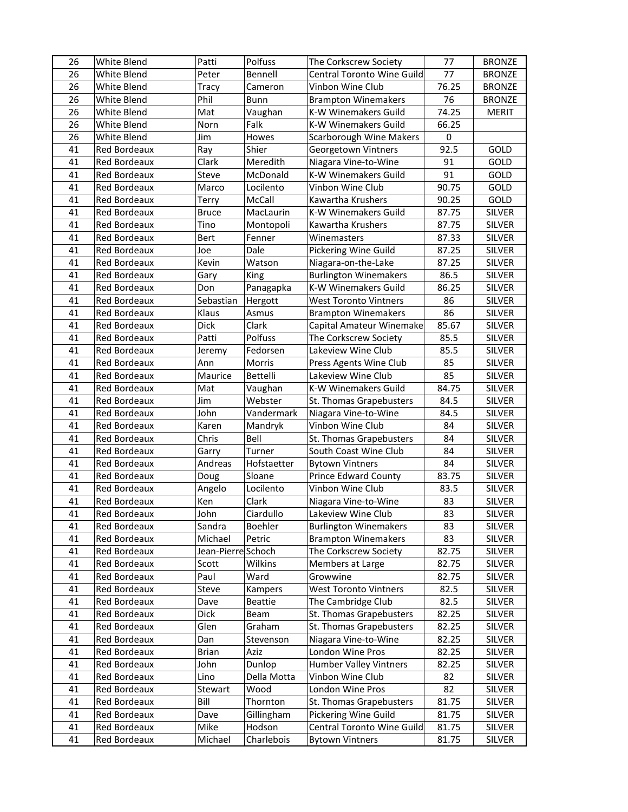| 26 | White Blend         | Patti              | Polfuss     | The Corkscrew Society             | 77    | <b>BRONZE</b> |
|----|---------------------|--------------------|-------------|-----------------------------------|-------|---------------|
| 26 | White Blend         | Peter              | Bennell     | <b>Central Toronto Wine Guild</b> | 77    | <b>BRONZE</b> |
| 26 | White Blend         | Tracy              | Cameron     | Vinbon Wine Club                  | 76.25 | <b>BRONZE</b> |
| 26 | White Blend         | Phil               | Bunn        | <b>Brampton Winemakers</b>        | 76    | <b>BRONZE</b> |
| 26 | White Blend         | Mat                | Vaughan     | K-W Winemakers Guild              | 74.25 | <b>MERIT</b>  |
| 26 | White Blend         | Norn               | Falk        | K-W Winemakers Guild              | 66.25 |               |
| 26 | White Blend         | Jim                | Howes       | <b>Scarborough Wine Makers</b>    | 0     |               |
| 41 | Red Bordeaux        | Ray                | Shier       | Georgetown Vintners               | 92.5  | GOLD          |
| 41 | Red Bordeaux        | Clark              | Meredith    | Niagara Vine-to-Wine              | 91    | GOLD          |
| 41 | Red Bordeaux        | Steve              | McDonald    | K-W Winemakers Guild              | 91    | GOLD          |
| 41 | Red Bordeaux        | Marco              | Locilento   | Vinbon Wine Club                  | 90.75 | GOLD          |
| 41 | Red Bordeaux        | Terry              | McCall      | Kawartha Krushers                 | 90.25 | GOLD          |
| 41 | Red Bordeaux        | <b>Bruce</b>       | MacLaurin   | K-W Winemakers Guild              | 87.75 | <b>SILVER</b> |
| 41 | Red Bordeaux        | Tino               | Montopoli   | Kawartha Krushers                 | 87.75 | <b>SILVER</b> |
| 41 | Red Bordeaux        | <b>Bert</b>        | Fenner      | Winemasters                       | 87.33 | <b>SILVER</b> |
| 41 | Red Bordeaux        | Joe                | Dale        | Pickering Wine Guild              | 87.25 | <b>SILVER</b> |
| 41 | <b>Red Bordeaux</b> | Kevin              | Watson      | Niagara-on-the-Lake               | 87.25 | <b>SILVER</b> |
| 41 | <b>Red Bordeaux</b> | Gary               | King        | <b>Burlington Winemakers</b>      | 86.5  | <b>SILVER</b> |
| 41 | <b>Red Bordeaux</b> | Don                | Panagapka   | K-W Winemakers Guild              | 86.25 | <b>SILVER</b> |
| 41 | Red Bordeaux        | Sebastian          | Hergott     | <b>West Toronto Vintners</b>      | 86    | <b>SILVER</b> |
| 41 | Red Bordeaux        | Klaus              | Asmus       | <b>Brampton Winemakers</b>        | 86    | <b>SILVER</b> |
| 41 | <b>Red Bordeaux</b> | Dick               | Clark       | Capital Amateur Winemake          | 85.67 | <b>SILVER</b> |
| 41 | Red Bordeaux        | Patti              | Polfuss     | The Corkscrew Society             | 85.5  | <b>SILVER</b> |
| 41 | Red Bordeaux        | Jeremy             | Fedorsen    | Lakeview Wine Club                | 85.5  | <b>SILVER</b> |
| 41 | Red Bordeaux        | Ann                | Morris      | Press Agents Wine Club            | 85    | <b>SILVER</b> |
| 41 | Red Bordeaux        | Maurice            | Bettelli    | Lakeview Wine Club                | 85    | <b>SILVER</b> |
| 41 | Red Bordeaux        | Mat                | Vaughan     | K-W Winemakers Guild              | 84.75 | <b>SILVER</b> |
| 41 | Red Bordeaux        | Jim                | Webster     | St. Thomas Grapebusters           | 84.5  | <b>SILVER</b> |
| 41 | Red Bordeaux        | John               | Vandermark  | Niagara Vine-to-Wine              | 84.5  | <b>SILVER</b> |
| 41 | Red Bordeaux        | Karen              | Mandryk     | Vinbon Wine Club                  | 84    | <b>SILVER</b> |
| 41 | Red Bordeaux        | Chris              | Bell        | St. Thomas Grapebusters           | 84    | SILVER        |
| 41 | Red Bordeaux        | Garry              | Turner      | South Coast Wine Club             | 84    | SILVER        |
| 41 | <b>Red Bordeaux</b> | Andreas            | Hofstaetter | <b>Bytown Vintners</b>            | 84    | SILVER        |
| 41 | Red Bordeaux        | Doug               | Sloane      | <b>Prince Edward County</b>       | 83.75 | SILVER        |
| 41 | Red Bordeaux        | Angelo             | Locilento   | Vinbon Wine Club                  | 83.5  | <b>SILVER</b> |
| 41 | Red Bordeaux        | Ken                | Clark       | Niagara Vine-to-Wine              | 83    | <b>SILVER</b> |
| 41 | Red Bordeaux        | John               | Ciardullo   | Lakeview Wine Club                | 83    | SILVER        |
| 41 | Red Bordeaux        | Sandra             | Boehler     | <b>Burlington Winemakers</b>      | 83    | <b>SILVER</b> |
| 41 | Red Bordeaux        | Michael            | Petric      | <b>Brampton Winemakers</b>        | 83    | SILVER        |
| 41 | Red Bordeaux        | Jean-Pierre Schoch |             | The Corkscrew Society             | 82.75 | SILVER        |
| 41 | Red Bordeaux        | Scott              | Wilkins     | Members at Large                  | 82.75 | SILVER        |
| 41 | Red Bordeaux        | Paul               | Ward        | Growwine                          | 82.75 | SILVER        |
| 41 | Red Bordeaux        | Steve              | Kampers     | <b>West Toronto Vintners</b>      | 82.5  | SILVER        |
| 41 | Red Bordeaux        | Dave               | Beattie     | The Cambridge Club                | 82.5  | SILVER        |
| 41 | Red Bordeaux        | Dick               | Beam        | St. Thomas Grapebusters           | 82.25 | SILVER        |
| 41 | Red Bordeaux        | Glen               | Graham      | St. Thomas Grapebusters           | 82.25 | SILVER        |
| 41 | Red Bordeaux        | Dan                | Stevenson   | Niagara Vine-to-Wine              | 82.25 | SILVER        |
| 41 | Red Bordeaux        | Brian              | Aziz        | London Wine Pros                  | 82.25 | SILVER        |
| 41 | Red Bordeaux        | John               | Dunlop      | <b>Humber Valley Vintners</b>     | 82.25 | <b>SILVER</b> |
| 41 | Red Bordeaux        | Lino               | Della Motta | Vinbon Wine Club                  | 82    | SILVER        |
| 41 | Red Bordeaux        | Stewart            | Wood        | London Wine Pros                  | 82    | SILVER        |
| 41 | Red Bordeaux        | Bill               | Thornton    | St. Thomas Grapebusters           | 81.75 | <b>SILVER</b> |
| 41 | Red Bordeaux        | Dave               | Gillingham  | Pickering Wine Guild              | 81.75 | SILVER        |
| 41 | Red Bordeaux        | Mike               | Hodson      | Central Toronto Wine Guild        | 81.75 | <b>SILVER</b> |
| 41 | Red Bordeaux        | Michael            | Charlebois  | <b>Bytown Vintners</b>            | 81.75 | SILVER        |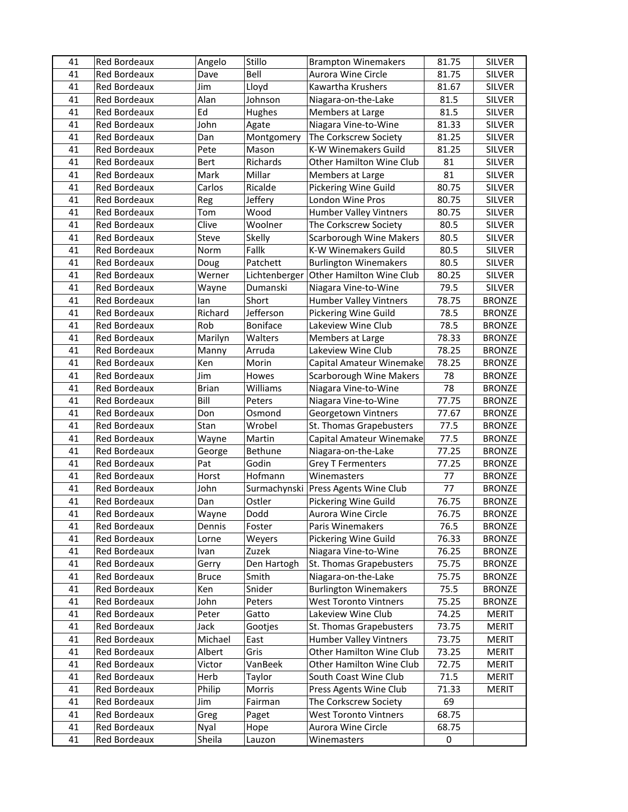| 41 | Red Bordeaux        | Angelo       | Stillo        | <b>Brampton Winemakers</b>     | 81.75 | <b>SILVER</b> |
|----|---------------------|--------------|---------------|--------------------------------|-------|---------------|
| 41 | Red Bordeaux        | Dave         | Bell          | Aurora Wine Circle             | 81.75 | <b>SILVER</b> |
| 41 | Red Bordeaux        | Jim          | Lloyd         | Kawartha Krushers              | 81.67 | <b>SILVER</b> |
| 41 | Red Bordeaux        | Alan         | Johnson       | Niagara-on-the-Lake            | 81.5  | <b>SILVER</b> |
| 41 | Red Bordeaux        | Ed           | <b>Hughes</b> | Members at Large               | 81.5  | <b>SILVER</b> |
| 41 | Red Bordeaux        | John         | Agate         | Niagara Vine-to-Wine           | 81.33 | <b>SILVER</b> |
| 41 | Red Bordeaux        | Dan          | Montgomery    | The Corkscrew Society          | 81.25 | <b>SILVER</b> |
| 41 | <b>Red Bordeaux</b> | Pete         | Mason         | K-W Winemakers Guild           | 81.25 | SILVER        |
| 41 | Red Bordeaux        | Bert         | Richards      | Other Hamilton Wine Club       | 81    | <b>SILVER</b> |
| 41 | Red Bordeaux        | Mark         | Millar        | Members at Large               | 81    | <b>SILVER</b> |
| 41 | Red Bordeaux        | Carlos       | Ricalde       | Pickering Wine Guild           | 80.75 | <b>SILVER</b> |
| 41 | Red Bordeaux        | Reg          | Jeffery       | London Wine Pros               | 80.75 | <b>SILVER</b> |
| 41 | Red Bordeaux        | Tom          | Wood          | <b>Humber Valley Vintners</b>  | 80.75 | <b>SILVER</b> |
| 41 | <b>Red Bordeaux</b> | Clive        | Woolner       | The Corkscrew Society          | 80.5  | <b>SILVER</b> |
| 41 | Red Bordeaux        | Steve        | Skelly        | <b>Scarborough Wine Makers</b> | 80.5  | <b>SILVER</b> |
| 41 | Red Bordeaux        | Norm         | Fallk         | K-W Winemakers Guild           | 80.5  | <b>SILVER</b> |
| 41 | Red Bordeaux        | Doug         | Patchett      | <b>Burlington Winemakers</b>   | 80.5  | <b>SILVER</b> |
| 41 | Red Bordeaux        | Werner       | Lichtenberger | Other Hamilton Wine Club       | 80.25 | <b>SILVER</b> |
| 41 | Red Bordeaux        | Wayne        | Dumanski      | Niagara Vine-to-Wine           | 79.5  | <b>SILVER</b> |
| 41 | Red Bordeaux        | lan          | Short         | <b>Humber Valley Vintners</b>  | 78.75 | <b>BRONZE</b> |
| 41 | Red Bordeaux        | Richard      | Jefferson     | Pickering Wine Guild           | 78.5  | <b>BRONZE</b> |
| 41 | Red Bordeaux        | Rob          | Boniface      | Lakeview Wine Club             | 78.5  | <b>BRONZE</b> |
| 41 | Red Bordeaux        | Marilyn      | Walters       | Members at Large               | 78.33 | <b>BRONZE</b> |
| 41 | Red Bordeaux        | Manny        | Arruda        | Lakeview Wine Club             | 78.25 | <b>BRONZE</b> |
| 41 | Red Bordeaux        | Ken          | Morin         | Capital Amateur Winemake       | 78.25 | <b>BRONZE</b> |
| 41 | Red Bordeaux        | Jim          | Howes         | <b>Scarborough Wine Makers</b> | 78    | <b>BRONZE</b> |
| 41 | Red Bordeaux        | <b>Brian</b> | Williams      | Niagara Vine-to-Wine           | 78    | <b>BRONZE</b> |
| 41 | Red Bordeaux        | Bill         | Peters        | Niagara Vine-to-Wine           | 77.75 | <b>BRONZE</b> |
| 41 | Red Bordeaux        | Don          | Osmond        | Georgetown Vintners            | 77.67 | <b>BRONZE</b> |
| 41 | Red Bordeaux        | Stan         | Wrobel        | St. Thomas Grapebusters        | 77.5  | <b>BRONZE</b> |
| 41 | Red Bordeaux        | Wayne        | Martin        | Capital Amateur Winemake       | 77.5  | <b>BRONZE</b> |
| 41 | <b>Red Bordeaux</b> | George       | Bethune       | Niagara-on-the-Lake            | 77.25 | <b>BRONZE</b> |
| 41 | <b>Red Bordeaux</b> | Pat          | Godin         | <b>Grey T Fermenters</b>       | 77.25 | <b>BRONZE</b> |
| 41 | Red Bordeaux        | Horst        | Hofmann       | Winemasters                    | 77    | <b>BRONZE</b> |
| 41 | Red Bordeaux        | John         | Surmachynski  | Press Agents Wine Club         | 77    | <b>BRONZE</b> |
| 41 | Red Bordeaux        | Dan          | Ostler        | Pickering Wine Guild           | 76.75 | <b>BRONZE</b> |
| 41 | Red Bordeaux        | Wayne        | Dodd          | Aurora Wine Circle             | 76.75 | <b>BRONZE</b> |
| 41 | Red Bordeaux        | Dennis       | Foster        | Paris Winemakers               | 76.5  | <b>BRONZE</b> |
| 41 | Red Bordeaux        | Lorne        | Weyers        | Pickering Wine Guild           | 76.33 | <b>BRONZE</b> |
| 41 | Red Bordeaux        | Ivan         | Zuzek         | Niagara Vine-to-Wine           | 76.25 | <b>BRONZE</b> |
| 41 | Red Bordeaux        | Gerry        | Den Hartogh   | St. Thomas Grapebusters        | 75.75 | <b>BRONZE</b> |
| 41 | Red Bordeaux        | <b>Bruce</b> | Smith         | Niagara-on-the-Lake            | 75.75 | <b>BRONZE</b> |
| 41 | Red Bordeaux        | Ken          | Snider        | <b>Burlington Winemakers</b>   | 75.5  | <b>BRONZE</b> |
| 41 | Red Bordeaux        | John         | Peters        | <b>West Toronto Vintners</b>   | 75.25 | <b>BRONZE</b> |
| 41 | Red Bordeaux        | Peter        | Gatto         | Lakeview Wine Club             | 74.25 | <b>MERIT</b>  |
| 41 | Red Bordeaux        | Jack         | Gootjes       | St. Thomas Grapebusters        | 73.75 | <b>MERIT</b>  |
| 41 | Red Bordeaux        | Michael      | East          | <b>Humber Valley Vintners</b>  | 73.75 | <b>MERIT</b>  |
| 41 | Red Bordeaux        | Albert       | Gris          | Other Hamilton Wine Club       | 73.25 | <b>MERIT</b>  |
| 41 | Red Bordeaux        | Victor       | VanBeek       | Other Hamilton Wine Club       | 72.75 | <b>MERIT</b>  |
| 41 | Red Bordeaux        | Herb         | Taylor        | South Coast Wine Club          | 71.5  | <b>MERIT</b>  |
| 41 | Red Bordeaux        | Philip       | Morris        | Press Agents Wine Club         | 71.33 | <b>MERIT</b>  |
| 41 | Red Bordeaux        | Jim          | Fairman       | The Corkscrew Society          | 69    |               |
| 41 | Red Bordeaux        | Greg         | Paget         | <b>West Toronto Vintners</b>   | 68.75 |               |
| 41 | Red Bordeaux        | Nyal         | Hope          | Aurora Wine Circle             | 68.75 |               |
| 41 | Red Bordeaux        | Sheila       | Lauzon        | Winemasters                    | 0     |               |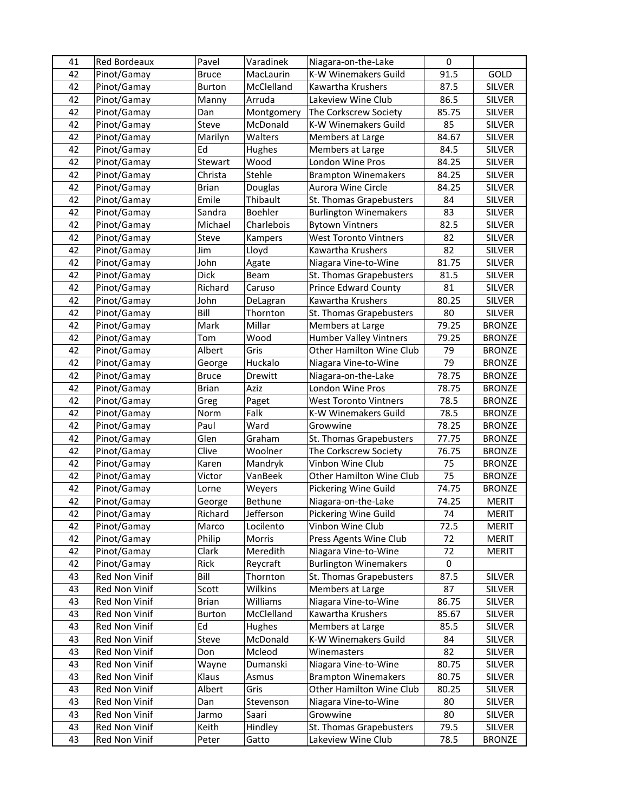| 41 | Red Bordeaux  | Pavel         | Varadinek  | Niagara-on-the-Lake           | 0     |               |
|----|---------------|---------------|------------|-------------------------------|-------|---------------|
| 42 | Pinot/Gamay   | <b>Bruce</b>  | MacLaurin  | K-W Winemakers Guild          | 91.5  | GOLD          |
| 42 | Pinot/Gamay   | <b>Burton</b> | McClelland | Kawartha Krushers             | 87.5  | <b>SILVER</b> |
| 42 | Pinot/Gamay   | Manny         | Arruda     | Lakeview Wine Club            | 86.5  | <b>SILVER</b> |
| 42 | Pinot/Gamay   | Dan           | Montgomery | The Corkscrew Society         | 85.75 | <b>SILVER</b> |
| 42 | Pinot/Gamay   | Steve         | McDonald   | K-W Winemakers Guild          | 85    | <b>SILVER</b> |
| 42 | Pinot/Gamay   | Marilyn       | Walters    | Members at Large              | 84.67 | <b>SILVER</b> |
| 42 | Pinot/Gamay   | Ed            | Hughes     | Members at Large              | 84.5  | <b>SILVER</b> |
| 42 | Pinot/Gamay   | Stewart       | Wood       | London Wine Pros              | 84.25 | <b>SILVER</b> |
| 42 | Pinot/Gamay   | Christa       | Stehle     | <b>Brampton Winemakers</b>    | 84.25 | SILVER        |
| 42 | Pinot/Gamay   | <b>Brian</b>  | Douglas    | Aurora Wine Circle            | 84.25 | SILVER        |
| 42 | Pinot/Gamay   | Emile         | Thibault   | St. Thomas Grapebusters       | 84    | SILVER        |
| 42 | Pinot/Gamay   | Sandra        | Boehler    | <b>Burlington Winemakers</b>  | 83    | SILVER        |
| 42 | Pinot/Gamay   | Michael       | Charlebois | <b>Bytown Vintners</b>        | 82.5  | <b>SILVER</b> |
| 42 | Pinot/Gamay   | Steve         | Kampers    | <b>West Toronto Vintners</b>  | 82    | <b>SILVER</b> |
| 42 | Pinot/Gamay   | Jim           | Lloyd      | Kawartha Krushers             | 82    | <b>SILVER</b> |
| 42 | Pinot/Gamay   | John          | Agate      | Niagara Vine-to-Wine          | 81.75 | <b>SILVER</b> |
| 42 | Pinot/Gamay   | <b>Dick</b>   | Beam       | St. Thomas Grapebusters       | 81.5  | <b>SILVER</b> |
| 42 | Pinot/Gamay   | Richard       | Caruso     | <b>Prince Edward County</b>   | 81    | <b>SILVER</b> |
| 42 | Pinot/Gamay   | John          | DeLagran   | Kawartha Krushers             | 80.25 | <b>SILVER</b> |
| 42 | Pinot/Gamay   | Bill          | Thornton   | St. Thomas Grapebusters       | 80    | <b>SILVER</b> |
| 42 | Pinot/Gamay   | Mark          | Millar     | Members at Large              | 79.25 | <b>BRONZE</b> |
| 42 | Pinot/Gamay   | Tom           | Wood       | <b>Humber Valley Vintners</b> | 79.25 | <b>BRONZE</b> |
| 42 | Pinot/Gamay   | Albert        | Gris       | Other Hamilton Wine Club      | 79    | <b>BRONZE</b> |
| 42 | Pinot/Gamay   | George        | Huckalo    | Niagara Vine-to-Wine          | 79    | <b>BRONZE</b> |
| 42 | Pinot/Gamay   | <b>Bruce</b>  | Drewitt    | Niagara-on-the-Lake           | 78.75 | <b>BRONZE</b> |
| 42 | Pinot/Gamay   | <b>Brian</b>  | Aziz       | London Wine Pros              | 78.75 | <b>BRONZE</b> |
| 42 | Pinot/Gamay   | Greg          | Paget      | <b>West Toronto Vintners</b>  | 78.5  | <b>BRONZE</b> |
| 42 | Pinot/Gamay   | Norm          | Falk       | K-W Winemakers Guild          | 78.5  | <b>BRONZE</b> |
| 42 | Pinot/Gamay   | Paul          | Ward       | Growwine                      | 78.25 | <b>BRONZE</b> |
| 42 | Pinot/Gamay   | Glen          | Graham     | St. Thomas Grapebusters       | 77.75 | <b>BRONZE</b> |
| 42 | Pinot/Gamay   | Clive         | Woolner    | The Corkscrew Society         | 76.75 | <b>BRONZE</b> |
| 42 | Pinot/Gamay   | Karen         | Mandryk    | Vinbon Wine Club              | 75    | <b>BRONZE</b> |
| 42 | Pinot/Gamay   | Victor        | VanBeek    | Other Hamilton Wine Club      | 75    | <b>BRONZE</b> |
| 42 | Pinot/Gamay   |               |            | Pickering Wine Guild          | 74.75 | <b>BRONZE</b> |
| 42 | Pinot/Gamay   | Lorne         | Weyers     |                               | 74.25 | <b>MERIT</b>  |
|    |               | George        | Bethune    | Niagara-on-the-Lake           |       |               |
| 42 | Pinot/Gamay   | Richard       | Jefferson  | Pickering Wine Guild          | 74    | MERIT         |
| 42 | Pinot/Gamay   | Marco         | Locilento  | Vinbon Wine Club              | 72.5  | <b>MERIT</b>  |
| 42 | Pinot/Gamay   | Philip        | Morris     | Press Agents Wine Club        | 72    | <b>MERIT</b>  |
| 42 | Pinot/Gamay   | Clark         | Meredith   | Niagara Vine-to-Wine          | 72    | <b>MERIT</b>  |
| 42 | Pinot/Gamay   | Rick          | Reycraft   | <b>Burlington Winemakers</b>  | 0     |               |
| 43 | Red Non Vinif | Bill          | Thornton   | St. Thomas Grapebusters       | 87.5  | SILVER        |
| 43 | Red Non Vinif | Scott         | Wilkins    | Members at Large              | 87    | <b>SILVER</b> |
| 43 | Red Non Vinif | <b>Brian</b>  | Williams   | Niagara Vine-to-Wine          | 86.75 | <b>SILVER</b> |
| 43 | Red Non Vinif | Burton        | McClelland | Kawartha Krushers             | 85.67 | <b>SILVER</b> |
| 43 | Red Non Vinif | Ed            | Hughes     | Members at Large              | 85.5  | SILVER        |
| 43 | Red Non Vinif | Steve         | McDonald   | K-W Winemakers Guild          | 84    | SILVER        |
| 43 | Red Non Vinif | Don           | Mcleod     | Winemasters                   | 82    | SILVER        |
| 43 | Red Non Vinif | Wayne         | Dumanski   | Niagara Vine-to-Wine          | 80.75 | SILVER        |
| 43 | Red Non Vinif | Klaus         | Asmus      | <b>Brampton Winemakers</b>    | 80.75 | SILVER        |
| 43 | Red Non Vinif | Albert        | Gris       | Other Hamilton Wine Club      | 80.25 | SILVER        |
| 43 | Red Non Vinif | Dan           | Stevenson  | Niagara Vine-to-Wine          | 80    | <b>SILVER</b> |
| 43 | Red Non Vinif | Jarmo         | Saari      | Growwine                      | 80    | SILVER        |
| 43 | Red Non Vinif | Keith         | Hindley    | St. Thomas Grapebusters       | 79.5  | <b>SILVER</b> |
|    | Red Non Vinif |               |            | Lakeview Wine Club            | 78.5  | <b>BRONZE</b> |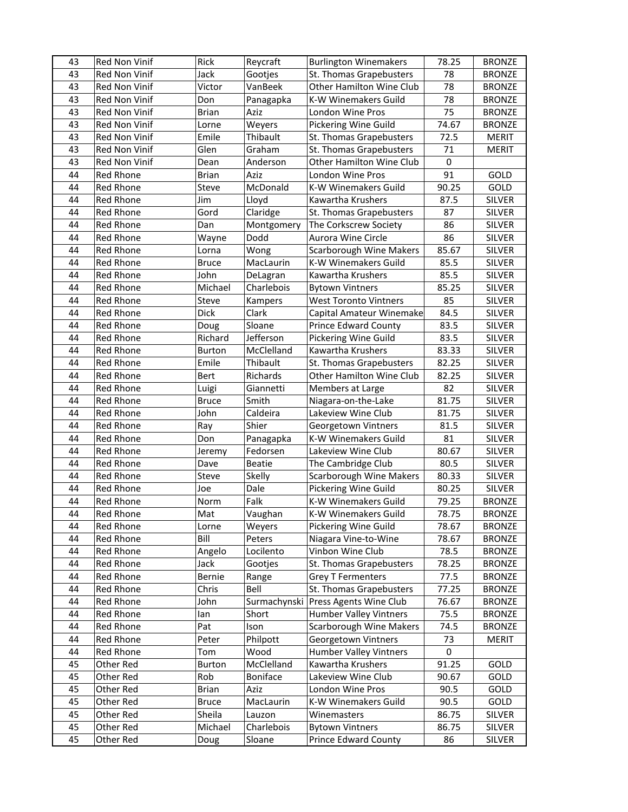| 43 | Red Non Vinif        | Rick         | Reycraft      | <b>Burlington Winemakers</b>   | 78.25     | <b>BRONZE</b> |
|----|----------------------|--------------|---------------|--------------------------------|-----------|---------------|
| 43 | Red Non Vinif        | Jack         | Gootjes       | St. Thomas Grapebusters        | 78        | <b>BRONZE</b> |
| 43 | <b>Red Non Vinif</b> | Victor       | VanBeek       | Other Hamilton Wine Club       | 78        | <b>BRONZE</b> |
| 43 | Red Non Vinif        | Don          | Panagapka     | K-W Winemakers Guild           | 78        | <b>BRONZE</b> |
| 43 | Red Non Vinif        | Brian        | Aziz          | London Wine Pros               | 75        | <b>BRONZE</b> |
| 43 | Red Non Vinif        | Lorne        | Weyers        | Pickering Wine Guild           | 74.67     | <b>BRONZE</b> |
| 43 | Red Non Vinif        | Emile        | Thibault      | St. Thomas Grapebusters        | 72.5      | <b>MERIT</b>  |
| 43 | Red Non Vinif        | Glen         | Graham        | St. Thomas Grapebusters        | 71        | <b>MERIT</b>  |
| 43 | Red Non Vinif        | Dean         | Anderson      | Other Hamilton Wine Club       | 0         |               |
| 44 | Red Rhone            | <b>Brian</b> | Aziz          | London Wine Pros               | 91        | GOLD          |
| 44 | <b>Red Rhone</b>     | Steve        | McDonald      | K-W Winemakers Guild           | 90.25     | GOLD          |
| 44 | Red Rhone            | Jim          | Lloyd         | Kawartha Krushers              | 87.5      | <b>SILVER</b> |
| 44 | Red Rhone            | Gord         | Claridge      | St. Thomas Grapebusters        | 87        | <b>SILVER</b> |
| 44 | Red Rhone            | Dan          | Montgomery    | The Corkscrew Society          | 86        | <b>SILVER</b> |
| 44 | Red Rhone            | Wayne        | Dodd          | Aurora Wine Circle             | 86        | <b>SILVER</b> |
| 44 | Red Rhone            | Lorna        | Wong          | <b>Scarborough Wine Makers</b> | 85.67     | <b>SILVER</b> |
| 44 | <b>Red Rhone</b>     | <b>Bruce</b> | MacLaurin     | K-W Winemakers Guild           | 85.5      | <b>SILVER</b> |
| 44 | <b>Red Rhone</b>     | John         | DeLagran      | Kawartha Krushers              | 85.5      | <b>SILVER</b> |
| 44 | Red Rhone            | Michael      | Charlebois    | <b>Bytown Vintners</b>         | 85.25     | <b>SILVER</b> |
| 44 | <b>Red Rhone</b>     | <b>Steve</b> | Kampers       | <b>West Toronto Vintners</b>   | 85        | <b>SILVER</b> |
| 44 | <b>Red Rhone</b>     | <b>Dick</b>  | Clark         | Capital Amateur Winemake       | 84.5      | <b>SILVER</b> |
| 44 | Red Rhone            | Doug         | Sloane        | Prince Edward County           | 83.5      | <b>SILVER</b> |
| 44 | <b>Red Rhone</b>     | Richard      | Jefferson     | Pickering Wine Guild           | 83.5      | <b>SILVER</b> |
| 44 | <b>Red Rhone</b>     | Burton       | McClelland    | Kawartha Krushers              | 83.33     | <b>SILVER</b> |
| 44 | <b>Red Rhone</b>     | Emile        | Thibault      | St. Thomas Grapebusters        | 82.25     | <b>SILVER</b> |
| 44 | Red Rhone            | Bert         | Richards      | Other Hamilton Wine Club       | 82.25     | <b>SILVER</b> |
| 44 | <b>Red Rhone</b>     | Luigi        | Giannetti     | Members at Large               | 82        | <b>SILVER</b> |
| 44 | <b>Red Rhone</b>     | Bruce        | Smith         | Niagara-on-the-Lake            | 81.75     | <b>SILVER</b> |
| 44 | <b>Red Rhone</b>     | John         | Caldeira      | Lakeview Wine Club             | 81.75     | <b>SILVER</b> |
| 44 | <b>Red Rhone</b>     | Ray          | Shier         | Georgetown Vintners            | 81.5      | <b>SILVER</b> |
| 44 | Red Rhone            | Don          | Panagapka     | K-W Winemakers Guild           | 81        | <b>SILVER</b> |
| 44 | Red Rhone            | Jeremy       | Fedorsen      | Lakeview Wine Club             | 80.67     | <b>SILVER</b> |
| 44 | Red Rhone            | Dave         | <b>Beatie</b> | The Cambridge Club             | 80.5      | <b>SILVER</b> |
| 44 | Red Rhone            | <b>Steve</b> | Skelly        | <b>Scarborough Wine Makers</b> | 80.33     | <b>SILVER</b> |
| 44 | Red Rhone            | Joe          | Dale          | Pickering Wine Guild           | 80.25     | <b>SILVER</b> |
| 44 | Red Rhone            | Norm         | Falk          | K-W Winemakers Guild           | 79.25     | <b>BRONZE</b> |
| 44 | Red Rhone            | Mat          | Vaughan       | K-W Winemakers Guild           | 78.75     | <b>BRONZE</b> |
| 44 | Red Rhone            | Lorne        | Weyers        | Pickering Wine Guild           | 78.67     | <b>BRONZE</b> |
| 44 | Red Rhone            | Bill         | Peters        | Niagara Vine-to-Wine           | 78.67     | <b>BRONZE</b> |
| 44 | Red Rhone            | Angelo       | Locilento     | Vinbon Wine Club               | 78.5      | <b>BRONZE</b> |
| 44 | Red Rhone            | Jack         | Gootjes       | St. Thomas Grapebusters        | 78.25     | <b>BRONZE</b> |
| 44 | Red Rhone            | Bernie       | Range         | <b>Grey T Fermenters</b>       | 77.5      | <b>BRONZE</b> |
| 44 | <b>Red Rhone</b>     | Chris        | Bell          | St. Thomas Grapebusters        | 77.25     | <b>BRONZE</b> |
| 44 | Red Rhone            | John         | Surmachynski  | Press Agents Wine Club         | 76.67     | <b>BRONZE</b> |
| 44 | Red Rhone            | lan          | Short         | Humber Valley Vintners         | 75.5      | <b>BRONZE</b> |
| 44 | <b>Red Rhone</b>     | Pat          | Ison          | <b>Scarborough Wine Makers</b> | 74.5      | <b>BRONZE</b> |
| 44 | Red Rhone            | Peter        | Philpott      | Georgetown Vintners            | 73        | <b>MERIT</b>  |
| 44 | Red Rhone            | Tom          | Wood          | <b>Humber Valley Vintners</b>  | $\pmb{0}$ |               |
| 45 | Other Red            | Burton       | McClelland    | Kawartha Krushers              | 91.25     | GOLD          |
| 45 | Other Red            | Rob          | Boniface      | Lakeview Wine Club             | 90.67     | GOLD          |
| 45 | Other Red            | Brian        | Aziz          | London Wine Pros               | 90.5      | GOLD          |
| 45 | Other Red            | <b>Bruce</b> | MacLaurin     | K-W Winemakers Guild           | 90.5      | GOLD          |
| 45 | Other Red            | Sheila       | Lauzon        | Winemasters                    | 86.75     | SILVER        |
| 45 | Other Red            | Michael      | Charlebois    | <b>Bytown Vintners</b>         | 86.75     | <b>SILVER</b> |
| 45 | Other Red            | Doug         | Sloane        | Prince Edward County           | 86        | <b>SILVER</b> |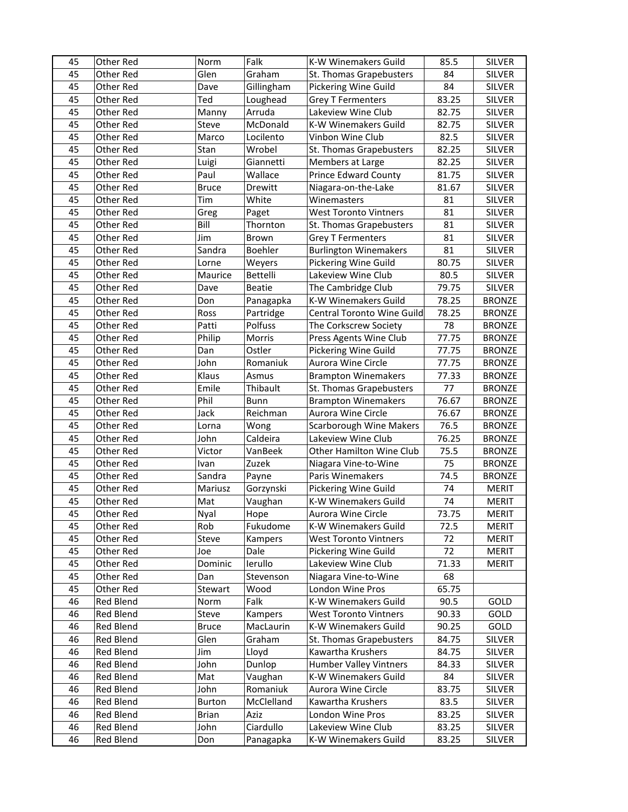| 45 | Other Red | Norm          | Falk          | K-W Winemakers Guild           | 85.5  | <b>SILVER</b> |
|----|-----------|---------------|---------------|--------------------------------|-------|---------------|
| 45 | Other Red | Glen          | Graham        | St. Thomas Grapebusters        | 84    | <b>SILVER</b> |
| 45 | Other Red | Dave          | Gillingham    | Pickering Wine Guild           | 84    | <b>SILVER</b> |
| 45 | Other Red | Ted           | Loughead      | <b>Grey T Fermenters</b>       | 83.25 | <b>SILVER</b> |
| 45 | Other Red | Manny         | Arruda        | Lakeview Wine Club             | 82.75 | <b>SILVER</b> |
| 45 | Other Red | Steve         | McDonald      | K-W Winemakers Guild           | 82.75 | <b>SILVER</b> |
| 45 | Other Red | Marco         | Locilento     | Vinbon Wine Club               | 82.5  | SILVER        |
| 45 | Other Red | Stan          | Wrobel        | St. Thomas Grapebusters        | 82.25 | SILVER        |
| 45 | Other Red | Luigi         | Giannetti     | Members at Large               | 82.25 | <b>SILVER</b> |
| 45 | Other Red | Paul          | Wallace       | <b>Prince Edward County</b>    | 81.75 | <b>SILVER</b> |
| 45 | Other Red | <b>Bruce</b>  | Drewitt       | Niagara-on-the-Lake            | 81.67 | <b>SILVER</b> |
| 45 | Other Red | Tim           | White         | Winemasters                    | 81    | <b>SILVER</b> |
| 45 | Other Red | Greg          | Paget         | <b>West Toronto Vintners</b>   | 81    | SILVER        |
| 45 | Other Red | Bill          | Thornton      | St. Thomas Grapebusters        | 81    | SILVER        |
| 45 | Other Red | Jim           | Brown         | <b>Grey T Fermenters</b>       | 81    | <b>SILVER</b> |
| 45 | Other Red | Sandra        | Boehler       | <b>Burlington Winemakers</b>   | 81    | <b>SILVER</b> |
| 45 | Other Red | Lorne         | Weyers        | Pickering Wine Guild           | 80.75 | <b>SILVER</b> |
| 45 | Other Red | Maurice       | Bettelli      | Lakeview Wine Club             | 80.5  | <b>SILVER</b> |
| 45 | Other Red | Dave          | <b>Beatie</b> | The Cambridge Club             | 79.75 | SILVER        |
| 45 | Other Red | Don           | Panagapka     | K-W Winemakers Guild           | 78.25 | <b>BRONZE</b> |
| 45 | Other Red | Ross          | Partridge     | Central Toronto Wine Guild     | 78.25 | <b>BRONZE</b> |
| 45 | Other Red | Patti         | Polfuss       | The Corkscrew Society          | 78    | <b>BRONZE</b> |
| 45 | Other Red | Philip        | Morris        | Press Agents Wine Club         | 77.75 | <b>BRONZE</b> |
| 45 | Other Red | Dan           | Ostler        | Pickering Wine Guild           | 77.75 | <b>BRONZE</b> |
| 45 | Other Red | John          | Romaniuk      | Aurora Wine Circle             | 77.75 | <b>BRONZE</b> |
| 45 | Other Red | Klaus         | Asmus         | <b>Brampton Winemakers</b>     | 77.33 | <b>BRONZE</b> |
| 45 | Other Red | Emile         | Thibault      | St. Thomas Grapebusters        | 77    | <b>BRONZE</b> |
| 45 | Other Red | Phil          | <b>Bunn</b>   | <b>Brampton Winemakers</b>     | 76.67 | <b>BRONZE</b> |
| 45 | Other Red | Jack          | Reichman      | Aurora Wine Circle             | 76.67 | <b>BRONZE</b> |
| 45 | Other Red | Lorna         | Wong          | <b>Scarborough Wine Makers</b> | 76.5  | <b>BRONZE</b> |
| 45 | Other Red | John          | Caldeira      | Lakeview Wine Club             | 76.25 | <b>BRONZE</b> |
| 45 | Other Red | Victor        | VanBeek       | Other Hamilton Wine Club       | 75.5  | <b>BRONZE</b> |
| 45 | Other Red | Ivan          | Zuzek         | Niagara Vine-to-Wine           | 75    | <b>BRONZE</b> |
| 45 | Other Red | Sandra        | Payne         | Paris Winemakers               | 74.5  | <b>BRONZE</b> |
| 45 | Other Red | Mariusz       | Gorzynski     | Pickering Wine Guild           | 74    | <b>MERIT</b>  |
| 45 | Other Red | Mat           | Vaughan       | K-W Winemakers Guild           | 74    | <b>MERIT</b>  |
| 45 | Other Red | Nyal          | Hope          | Aurora Wine Circle             | 73.75 | <b>MERIT</b>  |
| 45 | Other Red | Rob           | Fukudome      | K-W Winemakers Guild           | 72.5  | <b>MERIT</b>  |
| 45 | Other Red | Steve         | Kampers       | <b>West Toronto Vintners</b>   | 72    | <b>MERIT</b>  |
| 45 | Other Red | Joe           | Dale          | Pickering Wine Guild           | 72    | <b>MERIT</b>  |
| 45 | Other Red | Dominic       | lerullo       | Lakeview Wine Club             | 71.33 | <b>MERIT</b>  |
| 45 | Other Red | Dan           | Stevenson     | Niagara Vine-to-Wine           | 68    |               |
| 45 | Other Red | Stewart       | Wood          | London Wine Pros               | 65.75 |               |
| 46 | Red Blend | Norm          | Falk          | K-W Winemakers Guild           | 90.5  | GOLD          |
| 46 | Red Blend | Steve         | Kampers       | <b>West Toronto Vintners</b>   | 90.33 | GOLD          |
| 46 | Red Blend | <b>Bruce</b>  | MacLaurin     | K-W Winemakers Guild           | 90.25 | GOLD          |
| 46 | Red Blend | Glen          | Graham        | St. Thomas Grapebusters        | 84.75 | <b>SILVER</b> |
| 46 | Red Blend | Jim           | Lloyd         | Kawartha Krushers              | 84.75 | <b>SILVER</b> |
| 46 | Red Blend | John          | Dunlop        | <b>Humber Valley Vintners</b>  | 84.33 | SILVER        |
| 46 | Red Blend | Mat           | Vaughan       | K-W Winemakers Guild           | 84    | SILVER        |
| 46 | Red Blend | John          | Romaniuk      | Aurora Wine Circle             | 83.75 | SILVER        |
| 46 | Red Blend | <b>Burton</b> | McClelland    | Kawartha Krushers              | 83.5  | <b>SILVER</b> |
| 46 | Red Blend | <b>Brian</b>  | Aziz          | London Wine Pros               | 83.25 | SILVER        |
| 46 | Red Blend | John          | Ciardullo     | Lakeview Wine Club             | 83.25 | <b>SILVER</b> |
| 46 | Red Blend | Don           | Panagapka     | K-W Winemakers Guild           | 83.25 | SILVER        |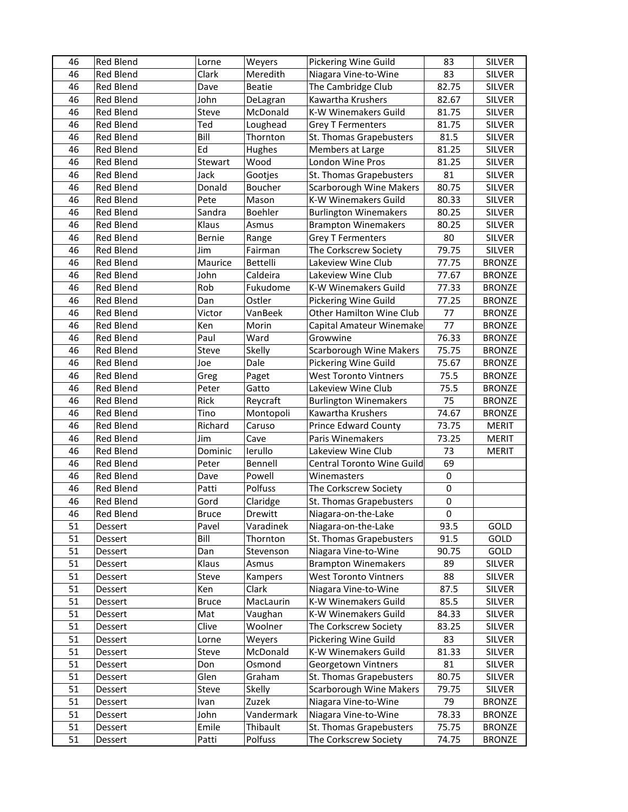| 46 | <b>Red Blend</b> | Lorne        | Weyers        | Pickering Wine Guild           | 83               | <b>SILVER</b> |
|----|------------------|--------------|---------------|--------------------------------|------------------|---------------|
| 46 | <b>Red Blend</b> | Clark        | Meredith      | Niagara Vine-to-Wine           | 83               | SILVER        |
| 46 | <b>Red Blend</b> | Dave         | <b>Beatie</b> | The Cambridge Club             | 82.75            | <b>SILVER</b> |
| 46 | <b>Red Blend</b> | John         | DeLagran      | Kawartha Krushers              | 82.67            | <b>SILVER</b> |
| 46 | Red Blend        | Steve        | McDonald      | K-W Winemakers Guild           | 81.75            | <b>SILVER</b> |
| 46 | <b>Red Blend</b> | Ted          | Loughead      | <b>Grey T Fermenters</b>       | 81.75            | SILVER        |
| 46 | <b>Red Blend</b> | Bill         | Thornton      | St. Thomas Grapebusters        | 81.5             | <b>SILVER</b> |
| 46 | <b>Red Blend</b> | Ed           | Hughes        | Members at Large               | 81.25            | <b>SILVER</b> |
| 46 | <b>Red Blend</b> | Stewart      | Wood          | London Wine Pros               | 81.25            | <b>SILVER</b> |
| 46 | Red Blend        | Jack         | Gootjes       | St. Thomas Grapebusters        | 81               | <b>SILVER</b> |
| 46 | <b>Red Blend</b> | Donald       | Boucher       | <b>Scarborough Wine Makers</b> | 80.75            | <b>SILVER</b> |
| 46 | Red Blend        | Pete         | Mason         | K-W Winemakers Guild           | 80.33            | <b>SILVER</b> |
| 46 | Red Blend        | Sandra       | Boehler       | <b>Burlington Winemakers</b>   | 80.25            | <b>SILVER</b> |
| 46 | <b>Red Blend</b> | Klaus        | Asmus         | <b>Brampton Winemakers</b>     | 80.25            | <b>SILVER</b> |
| 46 | <b>Red Blend</b> | Bernie       | Range         | <b>Grey T Fermenters</b>       | 80               | <b>SILVER</b> |
| 46 | Red Blend        | Jim          | Fairman       | The Corkscrew Society          | 79.75            | <b>SILVER</b> |
| 46 | <b>Red Blend</b> | Maurice      | Bettelli      | Lakeview Wine Club             | 77.75            | <b>BRONZE</b> |
| 46 | Red Blend        | John         | Caldeira      | Lakeview Wine Club             | 77.67            | <b>BRONZE</b> |
| 46 | <b>Red Blend</b> | Rob          | Fukudome      | K-W Winemakers Guild           | 77.33            | <b>BRONZE</b> |
| 46 | <b>Red Blend</b> | Dan          | Ostler        | Pickering Wine Guild           | 77.25            | <b>BRONZE</b> |
| 46 | <b>Red Blend</b> | Victor       | VanBeek       | Other Hamilton Wine Club       | 77               | <b>BRONZE</b> |
| 46 | Red Blend        | Ken          | Morin         | Capital Amateur Winemake       | 77               | <b>BRONZE</b> |
| 46 | Red Blend        | Paul         | Ward          | Growwine                       | 76.33            | <b>BRONZE</b> |
| 46 | <b>Red Blend</b> | Steve        | Skelly        | <b>Scarborough Wine Makers</b> | 75.75            | <b>BRONZE</b> |
| 46 | <b>Red Blend</b> | Joe          | Dale          | Pickering Wine Guild           | 75.67            | <b>BRONZE</b> |
| 46 | Red Blend        | Greg         | Paget         | <b>West Toronto Vintners</b>   | 75.5             | <b>BRONZE</b> |
| 46 | Red Blend        | Peter        | Gatto         | Lakeview Wine Club             | 75.5             | <b>BRONZE</b> |
| 46 | Red Blend        | Rick         | Reycraft      | <b>Burlington Winemakers</b>   | 75               | <b>BRONZE</b> |
| 46 | Red Blend        | Tino         | Montopoli     | Kawartha Krushers              | 74.67            | <b>BRONZE</b> |
| 46 | <b>Red Blend</b> | Richard      | Caruso        | <b>Prince Edward County</b>    | 73.75            | <b>MERIT</b>  |
| 46 | <b>Red Blend</b> | Jim          | Cave          | Paris Winemakers               | 73.25            | <b>MERIT</b>  |
| 46 | Red Blend        | Dominic      | lerullo       | Lakeview Wine Club             | 73               | <b>MERIT</b>  |
| 46 | <b>Red Blend</b> | Peter        | Bennell       | Central Toronto Wine Guild     | 69               |               |
| 46 | <b>Red Blend</b> | Dave         | Powell        | Winemasters                    | $\boldsymbol{0}$ |               |
| 46 | Red Blend        | Patti        | Polfuss       | The Corkscrew Society          | $\pmb{0}$        |               |
| 46 | <b>Red Blend</b> | Gord         | Claridge      | St. Thomas Grapebusters        | $\pmb{0}$        |               |
| 46 | Red Blend        | <b>Bruce</b> | Drewitt       | Niagara-on-the-Lake            | 0                |               |
| 51 | Dessert          | Pavel        | Varadinek     | Niagara-on-the-Lake            | 93.5             | GOLD          |
| 51 | Dessert          | Bill         | Thornton      | St. Thomas Grapebusters        | 91.5             | GOLD          |
| 51 | Dessert          | Dan          | Stevenson     | Niagara Vine-to-Wine           | 90.75            | GOLD          |
| 51 | Dessert          | Klaus        | Asmus         | <b>Brampton Winemakers</b>     | 89               | <b>SILVER</b> |
| 51 | Dessert          | Steve        | Kampers       | <b>West Toronto Vintners</b>   | 88               | <b>SILVER</b> |
| 51 | Dessert          | Ken          | Clark         | Niagara Vine-to-Wine           | 87.5             | <b>SILVER</b> |
| 51 | Dessert          | <b>Bruce</b> | MacLaurin     | K-W Winemakers Guild           | 85.5             | SILVER        |
| 51 | Dessert          | Mat          | Vaughan       | K-W Winemakers Guild           | 84.33            | SILVER        |
| 51 | Dessert          | Clive        | Woolner       | The Corkscrew Society          | 83.25            | <b>SILVER</b> |
| 51 | Dessert          | Lorne        | Weyers        | Pickering Wine Guild           | 83               | <b>SILVER</b> |
| 51 | Dessert          | Steve        | McDonald      | K-W Winemakers Guild           | 81.33            | <b>SILVER</b> |
| 51 | Dessert          | Don          | Osmond        | Georgetown Vintners            | 81               | <b>SILVER</b> |
| 51 | Dessert          | Glen         | Graham        | St. Thomas Grapebusters        | 80.75            | SILVER        |
| 51 | Dessert          | Steve        | Skelly        | <b>Scarborough Wine Makers</b> | 79.75            | SILVER        |
| 51 | Dessert          | Ivan         | Zuzek         | Niagara Vine-to-Wine           | 79               | <b>BRONZE</b> |
| 51 | Dessert          | John         | Vandermark    | Niagara Vine-to-Wine           | 78.33            | <b>BRONZE</b> |
| 51 | Dessert          | Emile        | Thibault      | St. Thomas Grapebusters        | 75.75            | <b>BRONZE</b> |
| 51 | Dessert          | Patti        | Polfuss       | The Corkscrew Society          | 74.75            | <b>BRONZE</b> |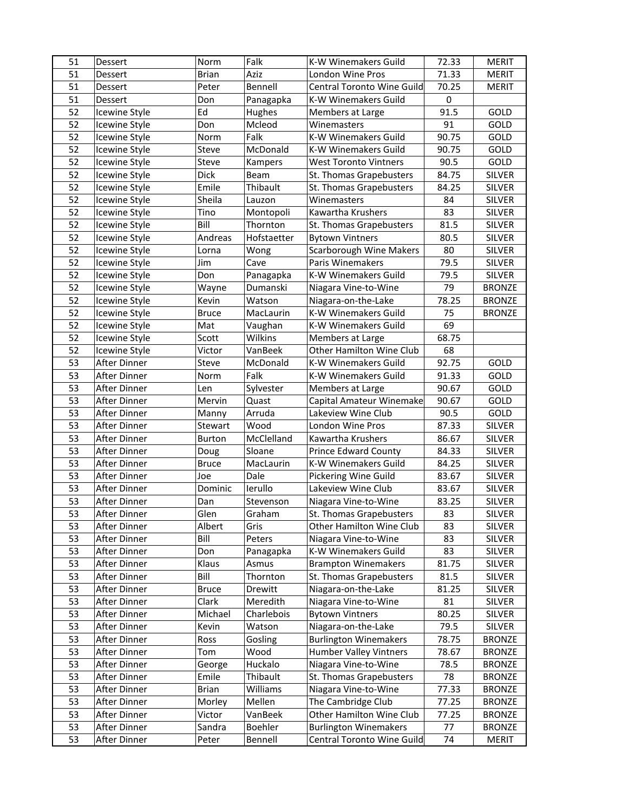| 51       | <b>Dessert</b>               | Norm                  | Falk                | K-W Winemakers Guild                               | 72.33       | <b>MERIT</b>            |
|----------|------------------------------|-----------------------|---------------------|----------------------------------------------------|-------------|-------------------------|
| 51       | Dessert                      | <b>Brian</b>          | Aziz                | <b>London Wine Pros</b>                            | 71.33       | <b>MERIT</b>            |
| 51       | Dessert                      | Peter                 | Bennell             | Central Toronto Wine Guild                         | 70.25       | <b>MERIT</b>            |
| 51       | Dessert                      | Don                   | Panagapka           | K-W Winemakers Guild                               | 0           |                         |
| 52       | Icewine Style                | Ed                    | <b>Hughes</b>       | Members at Large                                   | 91.5        | GOLD                    |
| 52       | Icewine Style                | Don                   | Mcleod              | Winemasters                                        | 91          | GOLD                    |
| 52       | Icewine Style                | Norm                  | Falk                | K-W Winemakers Guild                               | 90.75       | GOLD                    |
| 52       | Icewine Style                | Steve                 | McDonald            | K-W Winemakers Guild                               | 90.75       | GOLD                    |
| 52       | Icewine Style                | Steve                 | Kampers             | <b>West Toronto Vintners</b>                       | 90.5        | GOLD                    |
| 52       | Icewine Style                | <b>Dick</b>           | Beam                | St. Thomas Grapebusters                            | 84.75       | <b>SILVER</b>           |
| 52       | Icewine Style                | Emile                 | Thibault            | St. Thomas Grapebusters                            | 84.25       | <b>SILVER</b>           |
| 52       | Icewine Style                | Sheila                | Lauzon              | Winemasters                                        | 84          | <b>SILVER</b>           |
| 52       | Icewine Style                | Tino                  | Montopoli           | Kawartha Krushers                                  | 83          | <b>SILVER</b>           |
| 52       | Icewine Style                | Bill                  | Thornton            | St. Thomas Grapebusters                            | 81.5        | <b>SILVER</b>           |
| 52       | Icewine Style                | Andreas               | Hofstaetter         | <b>Bytown Vintners</b>                             | 80.5        | <b>SILVER</b>           |
| 52       | Icewine Style                | Lorna                 | Wong                | <b>Scarborough Wine Makers</b>                     | 80          | <b>SILVER</b>           |
| 52       | Icewine Style                | Jim                   | Cave                | Paris Winemakers                                   | 79.5        | <b>SILVER</b>           |
| 52       | Icewine Style                | Don                   | Panagapka           | K-W Winemakers Guild                               | 79.5        | <b>SILVER</b>           |
| 52       | Icewine Style                | Wayne                 | Dumanski            | Niagara Vine-to-Wine                               | 79          | <b>BRONZE</b>           |
| 52       | Icewine Style                | Kevin                 | Watson              | Niagara-on-the-Lake                                | 78.25       | <b>BRONZE</b>           |
| 52       | Icewine Style                | <b>Bruce</b>          | MacLaurin           | K-W Winemakers Guild                               | 75          | <b>BRONZE</b>           |
| 52       | Icewine Style                | Mat                   | Vaughan             | K-W Winemakers Guild                               | 69          |                         |
| 52       | Icewine Style                | Scott                 | Wilkins             | Members at Large                                   | 68.75       |                         |
| 52       | Icewine Style                | Victor                | VanBeek             | Other Hamilton Wine Club                           | 68          |                         |
| 53       | After Dinner                 | Steve                 | McDonald            | K-W Winemakers Guild                               | 92.75       | GOLD                    |
| 53       | After Dinner                 | Norm                  | Falk                | K-W Winemakers Guild                               | 91.33       | GOLD                    |
| 53       | After Dinner                 | Len                   | Sylvester           | Members at Large                                   | 90.67       | GOLD                    |
| 53       | After Dinner                 | Mervin                | Quast               | Capital Amateur Winemake                           | 90.67       | GOLD                    |
| 53       | After Dinner                 | Manny                 | Arruda              | Lakeview Wine Club                                 | 90.5        | GOLD                    |
| 53       | After Dinner                 | Stewart               | Wood                | London Wine Pros                                   | 87.33       | <b>SILVER</b>           |
| 53       | After Dinner                 | <b>Burton</b>         | McClelland          | Kawartha Krushers                                  | 86.67       | <b>SILVER</b>           |
| 53       | After Dinner                 | Doug                  | Sloane              | <b>Prince Edward County</b>                        | 84.33       | <b>SILVER</b>           |
| 53       | After Dinner                 | <b>Bruce</b>          | MacLaurin           | K-W Winemakers Guild                               | 84.25       | <b>SILVER</b>           |
| 53       | After Dinner                 | Joe                   | Dale                | Pickering Wine Guild                               | 83.67       | <b>SILVER</b>           |
| 53       | After Dinner                 | Dominic               | lerullo             | Lakeview Wine Club                                 | 83.67       | <b>SILVER</b>           |
| 53       | After Dinner                 | Dan                   | Stevenson           | Niagara Vine-to-Wine                               | 83.25       | <b>SILVER</b>           |
| 53       | After Dinner                 | Glen                  | Graham              | St. Thomas Grapebusters                            | 83          | <b>SILVER</b>           |
| 53       | After Dinner                 | Albert                | Gris                | Other Hamilton Wine Club                           | 83          | <b>SILVER</b>           |
| 53       | After Dinner                 | Bill                  | Peters              | Niagara Vine-to-Wine                               | 83          | <b>SILVER</b>           |
| 53<br>53 | After Dinner                 | Don                   | Panagapka           | K-W Winemakers Guild<br><b>Brampton Winemakers</b> | 83<br>81.75 | <b>SILVER</b>           |
| 53       | After Dinner<br>After Dinner | Klaus                 | Asmus               |                                                    |             | SILVER                  |
| 53       |                              | Bill                  | Thornton            | St. Thomas Grapebusters                            | 81.5        | SILVER                  |
| 53       | After Dinner<br>After Dinner | <b>Bruce</b><br>Clark | Drewitt<br>Meredith | Niagara-on-the-Lake<br>Niagara Vine-to-Wine        | 81.25<br>81 | <b>SILVER</b><br>SILVER |
| 53       | After Dinner                 | Michael               | Charlebois          | <b>Bytown Vintners</b>                             | 80.25       | SILVER                  |
| 53       | After Dinner                 | Kevin                 | Watson              | Niagara-on-the-Lake                                | 79.5        | <b>SILVER</b>           |
| 53       | After Dinner                 | Ross                  | Gosling             | <b>Burlington Winemakers</b>                       | 78.75       | <b>BRONZE</b>           |
| 53       | After Dinner                 | Tom                   | Wood                | <b>Humber Valley Vintners</b>                      | 78.67       | <b>BRONZE</b>           |
| 53       | After Dinner                 | George                | Huckalo             | Niagara Vine-to-Wine                               | 78.5        | <b>BRONZE</b>           |
| 53       | After Dinner                 | Emile                 | Thibault            | St. Thomas Grapebusters                            | 78          | <b>BRONZE</b>           |
| 53       | After Dinner                 | <b>Brian</b>          | Williams            | Niagara Vine-to-Wine                               | 77.33       | <b>BRONZE</b>           |
| 53       | After Dinner                 | Morley                | Mellen              | The Cambridge Club                                 | 77.25       | <b>BRONZE</b>           |
| 53       | After Dinner                 | Victor                | VanBeek             | Other Hamilton Wine Club                           | 77.25       | <b>BRONZE</b>           |
| 53       | After Dinner                 | Sandra                | Boehler             | <b>Burlington Winemakers</b>                       | 77          | <b>BRONZE</b>           |
| 53       | After Dinner                 | Peter                 | Bennell             | Central Toronto Wine Guild                         | 74          | <b>MERIT</b>            |
|          |                              |                       |                     |                                                    |             |                         |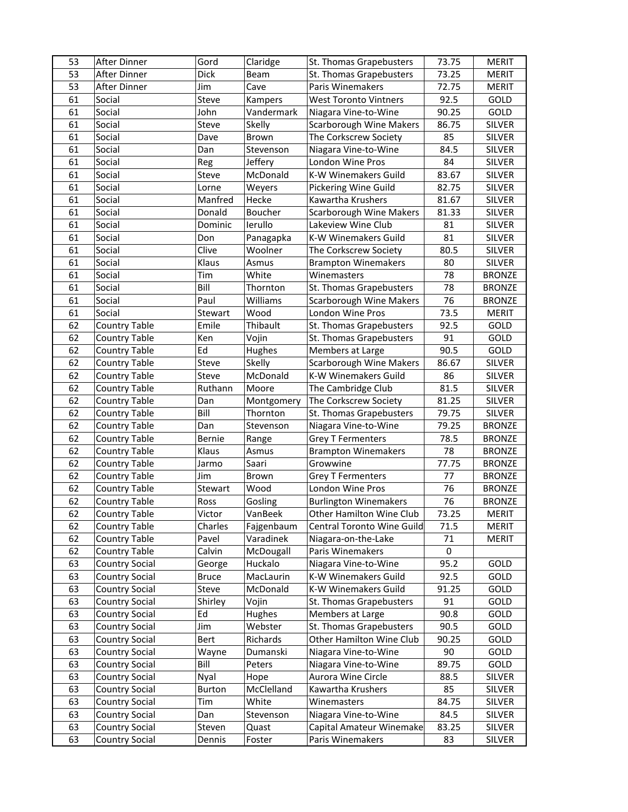| 53 | After Dinner          | Gord         | Claridge      | St. Thomas Grapebusters        | 73.75 | <b>MERIT</b>  |
|----|-----------------------|--------------|---------------|--------------------------------|-------|---------------|
| 53 | After Dinner          | <b>Dick</b>  | Beam          | St. Thomas Grapebusters        | 73.25 | <b>MERIT</b>  |
| 53 | <b>After Dinner</b>   | Jim          | Cave          | <b>Paris Winemakers</b>        | 72.75 | <b>MERIT</b>  |
| 61 | Social                | Steve        | Kampers       | <b>West Toronto Vintners</b>   | 92.5  | GOLD          |
| 61 | Social                | John         | Vandermark    | Niagara Vine-to-Wine           | 90.25 | GOLD          |
| 61 | Social                | Steve        | Skelly        | <b>Scarborough Wine Makers</b> | 86.75 | <b>SILVER</b> |
| 61 | Social                | Dave         | Brown         | The Corkscrew Society          | 85    | <b>SILVER</b> |
| 61 | Social                | Dan          | Stevenson     | Niagara Vine-to-Wine           | 84.5  | <b>SILVER</b> |
| 61 | Social                | Reg          | Jeffery       | London Wine Pros               | 84    | <b>SILVER</b> |
| 61 | Social                | Steve        | McDonald      | K-W Winemakers Guild           | 83.67 | <b>SILVER</b> |
| 61 | Social                | Lorne        | Weyers        | Pickering Wine Guild           | 82.75 | <b>SILVER</b> |
| 61 | Social                | Manfred      | Hecke         | Kawartha Krushers              | 81.67 | <b>SILVER</b> |
| 61 | Social                | Donald       | Boucher       | <b>Scarborough Wine Makers</b> | 81.33 | <b>SILVER</b> |
| 61 | Social                | Dominic      | lerullo       | Lakeview Wine Club             | 81    | <b>SILVER</b> |
| 61 | Social                | Don          | Panagapka     | K-W Winemakers Guild           | 81    | <b>SILVER</b> |
| 61 | Social                | Clive        | Woolner       | The Corkscrew Society          | 80.5  | <b>SILVER</b> |
| 61 | Social                | Klaus        | Asmus         | <b>Brampton Winemakers</b>     | 80    | <b>SILVER</b> |
| 61 | Social                | Tim          | White         | Winemasters                    | 78    | <b>BRONZE</b> |
| 61 | Social                | Bill         | Thornton      | St. Thomas Grapebusters        | 78    | <b>BRONZE</b> |
| 61 | Social                | Paul         | Williams      | <b>Scarborough Wine Makers</b> | 76    | <b>BRONZE</b> |
| 61 | Social                | Stewart      | Wood          | London Wine Pros               | 73.5  | <b>MERIT</b>  |
| 62 | <b>Country Table</b>  | Emile        | Thibault      | St. Thomas Grapebusters        | 92.5  | GOLD          |
| 62 | <b>Country Table</b>  | Ken          | Vojin         | St. Thomas Grapebusters        | 91    | GOLD          |
| 62 | <b>Country Table</b>  | Ed           | <b>Hughes</b> | Members at Large               | 90.5  | GOLD          |
| 62 | <b>Country Table</b>  | Steve        | Skelly        | <b>Scarborough Wine Makers</b> | 86.67 | <b>SILVER</b> |
| 62 | <b>Country Table</b>  | Steve        | McDonald      | K-W Winemakers Guild           | 86    | <b>SILVER</b> |
| 62 | <b>Country Table</b>  | Ruthann      | Moore         | The Cambridge Club             | 81.5  | <b>SILVER</b> |
| 62 | <b>Country Table</b>  | Dan          | Montgomery    | The Corkscrew Society          | 81.25 | <b>SILVER</b> |
| 62 | <b>Country Table</b>  | Bill         | Thornton      | St. Thomas Grapebusters        | 79.75 | <b>SILVER</b> |
| 62 | <b>Country Table</b>  | Dan          | Stevenson     | Niagara Vine-to-Wine           | 79.25 | <b>BRONZE</b> |
| 62 | <b>Country Table</b>  | Bernie       | Range         | <b>Grey T Fermenters</b>       | 78.5  | <b>BRONZE</b> |
| 62 | <b>Country Table</b>  | Klaus        | Asmus         | <b>Brampton Winemakers</b>     | 78    | <b>BRONZE</b> |
| 62 | <b>Country Table</b>  | Jarmo        | Saari         | Growwine                       | 77.75 | <b>BRONZE</b> |
| 62 | Country Table         | Jim          | Brown         | <b>Grey T Fermenters</b>       | 77    | <b>BRONZE</b> |
| 62 | <b>Country Table</b>  | Stewart      | Wood          | London Wine Pros               | 76    | <b>BRONZE</b> |
| 62 | Country Table         | Ross         | Gosling       | <b>Burlington Winemakers</b>   | 76    | <b>BRONZE</b> |
| 62 | <b>Country Table</b>  | Victor       | VanBeek       | Other Hamilton Wine Club       | 73.25 | MERIT         |
| 62 | Country Table         | Charles      | Fajgenbaum    | Central Toronto Wine Guild     | 71.5  | <b>MERIT</b>  |
| 62 | Country Table         | Pavel        | Varadinek     | Niagara-on-the-Lake            | 71    | <b>MERIT</b>  |
| 62 | Country Table         | Calvin       | McDougall     | Paris Winemakers               | 0     |               |
| 63 | Country Social        | George       | Huckalo       | Niagara Vine-to-Wine           | 95.2  | GOLD          |
| 63 | Country Social        | <b>Bruce</b> | MacLaurin     | K-W Winemakers Guild           | 92.5  | GOLD          |
| 63 | <b>Country Social</b> | Steve        | McDonald      | K-W Winemakers Guild           | 91.25 | GOLD          |
| 63 | Country Social        | Shirley      | Vojin         | St. Thomas Grapebusters        | 91    | GOLD          |
| 63 | Country Social        | Ed           | Hughes        | Members at Large               | 90.8  | GOLD          |
| 63 | <b>Country Social</b> | Jim          | Webster       | St. Thomas Grapebusters        | 90.5  | GOLD          |
| 63 | Country Social        | Bert         | Richards      | Other Hamilton Wine Club       | 90.25 | GOLD          |
| 63 | Country Social        | Wayne        | Dumanski      | Niagara Vine-to-Wine           | 90    | GOLD          |
| 63 | <b>Country Social</b> | Bill         | Peters        | Niagara Vine-to-Wine           | 89.75 | GOLD          |
| 63 | Country Social        | Nyal         | Hope          | Aurora Wine Circle             | 88.5  | <b>SILVER</b> |
| 63 | Country Social        | Burton       | McClelland    | Kawartha Krushers              | 85    | <b>SILVER</b> |
| 63 | Country Social        | Tim          | White         | Winemasters                    | 84.75 | SILVER        |
| 63 | Country Social        | Dan          | Stevenson     | Niagara Vine-to-Wine           | 84.5  | SILVER        |
| 63 | Country Social        | Steven       | Quast         | Capital Amateur Winemake       | 83.25 | <b>SILVER</b> |
| 63 | Country Social        | Dennis       | Foster        | Paris Winemakers               | 83    | SILVER        |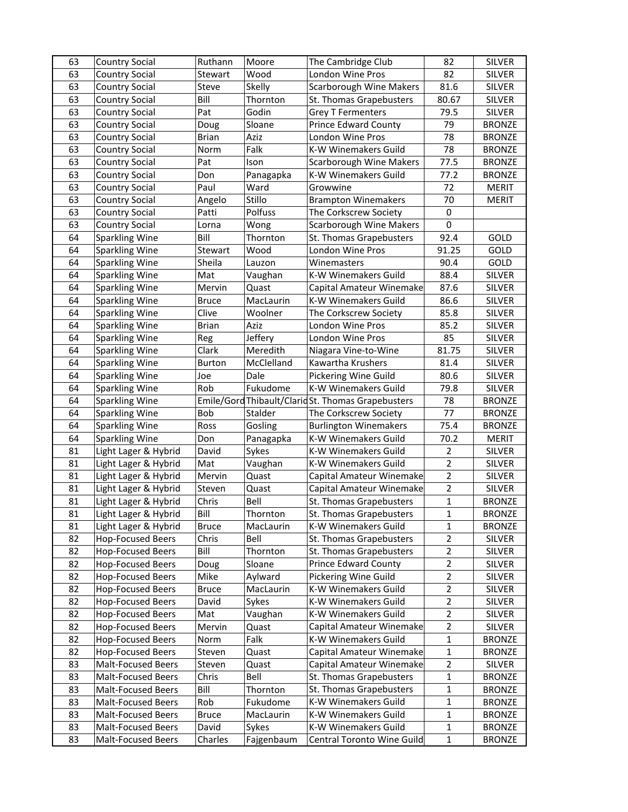| 63 | <b>Country Social</b>     | Ruthann      | Moore      | The Cambridge Club                                 | 82             | <b>SILVER</b> |
|----|---------------------------|--------------|------------|----------------------------------------------------|----------------|---------------|
| 63 | Country Social            | Stewart      | Wood       | London Wine Pros                                   | 82             | <b>SILVER</b> |
| 63 | <b>Country Social</b>     | Steve        | Skelly     | Scarborough Wine Makers                            | 81.6           | <b>SILVER</b> |
| 63 | <b>Country Social</b>     | Bill         | Thornton   | St. Thomas Grapebusters                            | 80.67          | <b>SILVER</b> |
| 63 | <b>Country Social</b>     | Pat          | Godin      | <b>Grey T Fermenters</b>                           | 79.5           | <b>SILVER</b> |
| 63 | <b>Country Social</b>     | Doug         | Sloane     | <b>Prince Edward County</b>                        | 79             | <b>BRONZE</b> |
| 63 | Country Social            | <b>Brian</b> | Aziz       | London Wine Pros                                   | 78             | <b>BRONZE</b> |
| 63 | <b>Country Social</b>     | Norm         | Falk       | K-W Winemakers Guild                               | 78             | <b>BRONZE</b> |
| 63 | <b>Country Social</b>     | Pat          | Ison       | <b>Scarborough Wine Makers</b>                     | 77.5           | <b>BRONZE</b> |
| 63 | Country Social            | Don          | Panagapka  | K-W Winemakers Guild                               | 77.2           | <b>BRONZE</b> |
| 63 | <b>Country Social</b>     | Paul         | Ward       | Growwine                                           | 72             | <b>MERIT</b>  |
| 63 | Country Social            | Angelo       | Stillo     | <b>Brampton Winemakers</b>                         | 70             | <b>MERIT</b>  |
| 63 | Country Social            | Patti        | Polfuss    | The Corkscrew Society                              | $\pmb{0}$      |               |
| 63 | <b>Country Social</b>     | Lorna        | Wong       | <b>Scarborough Wine Makers</b>                     | 0              |               |
| 64 | Sparkling Wine            | Bill         | Thornton   | St. Thomas Grapebusters                            | 92.4           | GOLD          |
| 64 | <b>Sparkling Wine</b>     | Stewart      | Wood       | London Wine Pros                                   | 91.25          | GOLD          |
| 64 | <b>Sparkling Wine</b>     | Sheila       | Lauzon     | Winemasters                                        | 90.4           | GOLD          |
| 64 | <b>Sparkling Wine</b>     | Mat          | Vaughan    | K-W Winemakers Guild                               | 88.4           | SILVER        |
| 64 | <b>Sparkling Wine</b>     | Mervin       | Quast      | Capital Amateur Winemake                           | 87.6           | <b>SILVER</b> |
| 64 | <b>Sparkling Wine</b>     | <b>Bruce</b> | MacLaurin  | K-W Winemakers Guild                               | 86.6           | SILVER        |
| 64 | <b>Sparkling Wine</b>     | Clive        | Woolner    | The Corkscrew Society                              | 85.8           | SILVER        |
| 64 | <b>Sparkling Wine</b>     | <b>Brian</b> | Aziz       | London Wine Pros                                   | 85.2           | <b>SILVER</b> |
| 64 | <b>Sparkling Wine</b>     | Reg          | Jeffery    | London Wine Pros                                   | 85             | <b>SILVER</b> |
| 64 | <b>Sparkling Wine</b>     | Clark        | Meredith   | Niagara Vine-to-Wine                               | 81.75          | <b>SILVER</b> |
| 64 | <b>Sparkling Wine</b>     | Burton       | McClelland | Kawartha Krushers                                  | 81.4           | <b>SILVER</b> |
| 64 | <b>Sparkling Wine</b>     | Joe          | Dale       | Pickering Wine Guild                               | 80.6           | <b>SILVER</b> |
| 64 | <b>Sparkling Wine</b>     | Rob          | Fukudome   | K-W Winemakers Guild                               | 79.8           | <b>SILVER</b> |
| 64 | <b>Sparkling Wine</b>     |              |            | Emile/Gord Thibault/Clarid St. Thomas Grapebusters | 78             | <b>BRONZE</b> |
| 64 | Sparkling Wine            | Bob          | Stalder    | The Corkscrew Society                              | 77             | <b>BRONZE</b> |
| 64 | <b>Sparkling Wine</b>     | Ross         | Gosling    | <b>Burlington Winemakers</b>                       | 75.4           | <b>BRONZE</b> |
| 64 | <b>Sparkling Wine</b>     | Don          | Panagapka  | K-W Winemakers Guild                               | 70.2           | <b>MERIT</b>  |
| 81 | Light Lager & Hybrid      | David        | Sykes      | K-W Winemakers Guild                               | $\overline{2}$ | <b>SILVER</b> |
| 81 | Light Lager & Hybrid      | Mat          | Vaughan    | K-W Winemakers Guild                               | $\overline{2}$ | SILVER        |
| 81 | Light Lager & Hybrid      | Mervin       | Quast      | Capital Amateur Winemake                           | $\overline{2}$ | SILVER        |
| 81 | Light Lager & Hybrid      | Steven       | Quast      | Capital Amateur Winemake                           | $\overline{2}$ | <b>SILVER</b> |
| 81 | Light Lager & Hybrid      | Chris        | Bell       | St. Thomas Grapebusters                            | $\mathbf{1}$   | <b>BRONZE</b> |
| 81 | Light Lager & Hybrid      | Bill         | Thornton   | St. Thomas Grapebusters                            | $\mathbf 1$    | <b>BRONZE</b> |
| 81 | Light Lager & Hybrid      | <b>Bruce</b> | MacLaurin  | K-W Winemakers Guild                               | $\mathbf 1$    | <b>BRONZE</b> |
| 82 | <b>Hop-Focused Beers</b>  | Chris        | Bell       | St. Thomas Grapebusters                            | $\overline{2}$ | <b>SILVER</b> |
| 82 | <b>Hop-Focused Beers</b>  | Bill         | Thornton   | St. Thomas Grapebusters                            | $\overline{2}$ | SILVER        |
| 82 | <b>Hop-Focused Beers</b>  | Doug         | Sloane     | Prince Edward County                               | $\overline{2}$ | SILVER        |
| 82 | <b>Hop-Focused Beers</b>  | Mike         | Aylward    | Pickering Wine Guild                               | $\overline{2}$ | SILVER        |
| 82 | <b>Hop-Focused Beers</b>  | <b>Bruce</b> | MacLaurin  | K-W Winemakers Guild                               | $\overline{2}$ | SILVER        |
| 82 | <b>Hop-Focused Beers</b>  | David        | Sykes      | K-W Winemakers Guild                               | $\overline{2}$ | <b>SILVER</b> |
| 82 | <b>Hop-Focused Beers</b>  | Mat          | Vaughan    | K-W Winemakers Guild                               | $\overline{2}$ | SILVER        |
| 82 | <b>Hop-Focused Beers</b>  | Mervin       | Quast      | Capital Amateur Winemake                           | $\overline{2}$ | <b>SILVER</b> |
| 82 | <b>Hop-Focused Beers</b>  | Norm         | Falk       | K-W Winemakers Guild                               | $\mathbf{1}$   | <b>BRONZE</b> |
| 82 | <b>Hop-Focused Beers</b>  | Steven       | Quast      | Capital Amateur Winemake                           | $\mathbf 1$    | <b>BRONZE</b> |
| 83 | <b>Malt-Focused Beers</b> | Steven       | Quast      | Capital Amateur Winemake                           | $\overline{2}$ | SILVER        |
| 83 | <b>Malt-Focused Beers</b> | Chris        | Bell       | St. Thomas Grapebusters                            | $\mathbf{1}$   | <b>BRONZE</b> |
| 83 | Malt-Focused Beers        | Bill         | Thornton   | St. Thomas Grapebusters                            | 1              | <b>BRONZE</b> |
| 83 | Malt-Focused Beers        | Rob          | Fukudome   | K-W Winemakers Guild                               | 1              | <b>BRONZE</b> |
| 83 | <b>Malt-Focused Beers</b> | <b>Bruce</b> | MacLaurin  | K-W Winemakers Guild                               | 1              | <b>BRONZE</b> |
| 83 | <b>Malt-Focused Beers</b> | David        | Sykes      | K-W Winemakers Guild                               | $\mathbf 1$    | <b>BRONZE</b> |
| 83 | Malt-Focused Beers        | Charles      | Fajgenbaum | Central Toronto Wine Guild                         | $\mathbf 1$    | <b>BRONZE</b> |